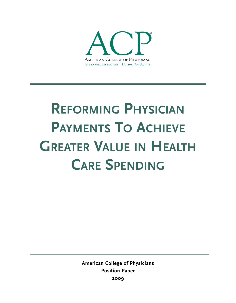

# **REFORMING PHYSICIAN PAYMENTS TO ACHIEVE GREATER VALUE IN HEALTH CARE SPENDING**

**American College of Physicians Position Paper 2009**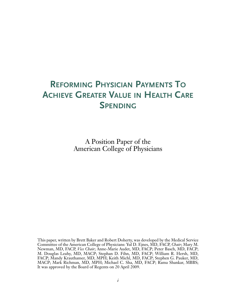# **REFORMING PHYSICIAN PAYMENTS TO ACHIEVE GREATER VALUE IN HEALTH CARE SPENDING**

A Position Paper of the American College of Physicians

This paper, written by Brett Baker and Robert Doherty, was developed by the Medical Service Committee of the American College of Physicians: Yul D. Ejnes, MD, FACP, *Chair*; Mary M. Newman, MD, FACP, *Vice Chair*; Anne-Marie Audet, MD, FACP; Peter Basch, MD, FACP; M. Douglas Leahy, MD, MACP; Stephan D. Fihn, MD, FACP; William R. Hersh, MD, FACP; Mandy Krauthamer, MD, MPH; Keith Michl, MD, FACP; Stephen G. Pauker, MD, MACP; Mark Richman, MD, MPH; Michael C. Sha, MD, FACP; Rama Shankar, MBBS; It was approved by the Board of Regents on 20 April 2009.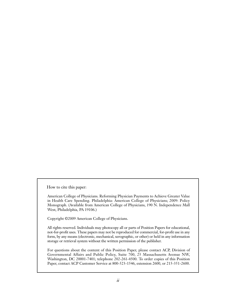How to cite this paper:

American College of Physicians. Reforming Physician Payments to Achieve Greater Value in Health Care Spending. Philadelphia: American College of Physicians; 2009: Policy Monograph. (Available from American College of Physicians, 190 N. Independence Mall West, Philadelphia, PA 19106.)

Copyright ©2009 American College of Physicians.

All rights reserved. Individuals may photocopy all or parts of Position Papers for educational, not-for-profit uses. These papers may not be reproduced for commercial, for-profit use in any form, by any means (electronic, mechanical, xerographic, or other) or held in any information storage or retrieval system without the written permission of the publisher.

For questions about the content of this Position Paper, please contact ACP, Division of Governmental Affairs and Public Policy, Suite 700, 25 Massachusetts Avenue NW, Washington, DC 20001-7401; telephone 202-261-4500. To order copies of this Position Paper, contact ACP Customer Service at 800-523-1546, extension 2600, or 215-351-2600.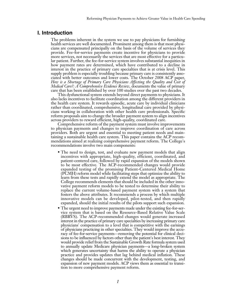# **I. Introduction**

The problems inherent in the system we use to pay physicians for furnishing health services are well documented. Prominent among them is that most physicians are compensated principally on the basis of the volume of services they provide. Fee-for-service payments create incentive for physicians to provide more services, not necessarily the services that are most effective for a particular patient. Further, the fee-for-service system involves substantial inequities in how payment rates are determined, which have contributed to a decline in interest in the practice of primary care specialties that is at crisis level. This supply problem is especially troubling because primary care is consistently associated with better outcomes and lower costs. The October 2008 ACP paper, *How is a Shortage of Primary Care Physicians Affecting the Quality and Cost of Medical Care?: A Comprehensive Evidence Review*, documents the value of primary care that has been established by over 100 studies over the past two decades.

This dysfunctional system extends beyond direct payments to physicians. It also lacks incentives to facilitate coordination among the different providers in the health care system. It rewards episodic, acute care by individual clinicians rather than coordinated, comprehensive, longitudinal care provided by physicians working in collaboration with other health care professionals. Specific reform proposals aim to change the broader payment system to align incentives across providers to reward efficient, high-quality, coordinated care.

Comprehensive reform of the payment system must involve improvements to physician payments and changes to improve coordination of care across providers. Both are urgent and essential to meeting patient needs and maintaining a sustainable health care system. This paper contains the ACP recommendations aimed at realizing comprehensive payment reform. The College's recommendations involve two main components:

- The need to design, test, and evaluate new payment models that align incentives with appropriate, high-quality, efficient, coordinated, and patient-centered care, followed by rapid expansion of the models shown to be most effective. The ACP-recommended changes would provide expanded testing of the promising Patient-Centered Medical Home (PCMH) reform model while facilitating steps that optimize the ability to learn from these tests and rapidly extend the model as appropriate. The College recommends elements that should be included in the other innovative payment reform models to be tested to determine their ability to replace the current volume-based payment system with a system that fosters the above attributes. It recommends a process by which multiple innovative models can be developed, pilot-tested, and then rapidly expanded, should the initial results of the pilots support such expansion.
- The urgent need to improve payments made under the existing fee-for-service system that is based on the Resource-Based Relative Value Scale (RBRVS). The ACP-recommended changes would generate increased interest in the practice of primary care specialties by increasing primary care physicians' compensation to a level that is competitive with the earnings of physicians practicing in other specialties. They would improve the accuracy of fee-for-service payments—removing the potential for clinical decisions to be influenced by factors other than the patient's best interest. They would provide relief from the Sustainable Growth Rate formula system used to annually update Medicare physician payments—a long-broken system which generates uncertainty that harms the ability to operate a physician practice and provides updates that lag behind medical inflation. These changes should be made concurrent with the development, testing, and expansion of new payment models. ACP views them as essential to transition to more comprehensive payment reform.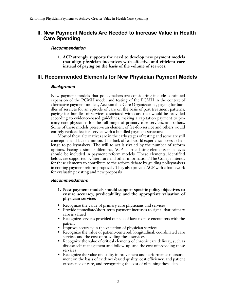# **II. New Payment Models Are Needed to Increase Value in Health Care Spending**

#### *Recommendation*

**1. ACP strongly supports the need to develop new payment models that align physician incentives with effective and efficient care instead of paying on the basis of the volume of services.**

# **III. Recommended Elements for New Physician Payment Models**

#### *Background*

New payment models that policymakers are considering include continued expansion of the PCMH model and testing of the PCMH in the context of alternative payment models, Accountable Care Organizations, paying for bundles of services for an episode of care on the basis of past treatment patterns, paying for bundles of services associated with care that would be provided according to evidence-based guidelines, making a capitation payment to primary care physicians for the full range of primary care services, and others. Some of these models preserve an element of fee-for-service and others would entirely replace fee-for-service with a bundled payment structure.

Most of these alternatives are in the early stages of testing and some are still conceptual and lack definition. This lack of real-world experience poses a challenge to policymakers. The will to act is rivaled by the number of reform options. Facing a similar dilemma, ACP is articulating elements it believes should be included in payment reform models. These elements, identified below, are supported by literature and other information. The College intends for these elements to contribute to the reform debate by guiding policymakers in crafting payment reform proposals. They also provide ACP with a framework for evaluating existing and new proposals.

#### *Recommendations*

- **1. New payment models should support specific policy objectives to ensure accuracy, predictability, and the appropriate valuation of physician services**
- Recognize the value of primary care physicians and services
- Provide immediate/short-term payment increases to signal that primary care is valued
- Recognize services provided outside of face-to-face encounters with the patient
- Improve accuracy in the valuation of physician services
- Recognize the value of patient-centered, longitudinal, coordinated care services and the cost of providing these services
- Recognize the value of critical elements of chronic care delivery, such as disease self-management and follow-up, and the cost of providing these services
- Recognize the value of quality improvement and performance measurement on the basis of evidence-based quality, cost efficiency, and patient experience of care, and recognizing the cost of obtaining these data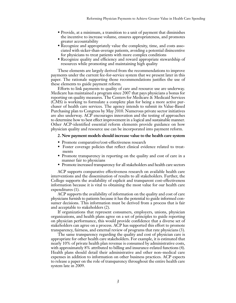- Provide, at a minimum, a transition to a unit of payment that diminishes the incentive to increase volume, ensures appropriateness, and promotes greater accountability
- Recognize and appropriately value the complexity, time, and costs associated with sicker-than-average patients, avoiding a potential disincentive for physicians to treat patients with more complex conditions
- Recognize quality and efficiency and reward appropriate stewardship of resources while promoting and maintaining high quality

These elements are largely derived from the recommendations to improve payments under the current fee-for-service system that we present later in this paper. The rationale supporting those recommendations justifies the use of these elements to guide payment reform.

Efforts to link payments to quality of care and resource use are underway. Medicare has maintained a program since 2007 that pays physicians a bonus for reporting on quality measures. The Centers for Medicare & Medicaid Services (CMS) is working to formulate a complete plan for being a more active purchaser of health care services. The agency intends to submit its Value-Based Purchasing plan to Congress by May 2010. Numerous private sector initiatives are also underway. ACP encourages innovation and the testing of approaches to determine how to best effect improvement in a logical and sustainable manner. Other ACP-identified essential reform elements provide guidance on how physician quality and resource use can be incorporated into payment reform.

#### **2. New payment models should increase value to the health care system**

- Promote comparative/cost-effectiveness research
- Foster coverage policies that reflect clinical evidence related to treatments
- Promote transparency in reporting on the quality and cost of care in a manner fair to physicians
- Promote increased transparency for all stakeholders and health care sectors

ACP supports comparative effectiveness research on available health care interventions and the dissemination of results to all stakeholders. Further, the College supports the availability of explicit and transparent cost-effectiveness information because it is vital to obtaining the most value for our health care expenditures (1).

ACP supports the availability of information on the quality and cost of care physicians furnish to patients because it has the potential to guide informed consumer decisions. This information must be derived from a process that is fair and acceptable to stakeholders (2).

If organizations that represent consumers, employers, unions, physician organizations, and health plans agree on a set of principles to guide reporting on physician performance, this would provide confidence that a diverse set of stakeholders can agree on a process. ACP has supported this effort to promote transparency, fairness, and external review of programs that rate physicians (3).

The same transparency regarding the quality and cost of physician care is appropriate for other health care stakeholders. For example, it is estimated that nearly 10% of private health plan revenue is consumed by administrative costs, with approximately 8% attributed to billing and insurance-related functions (4). Health plans should detail their administrative and other non–medical care expenses in addition to information on other business practices. ACP expects to release a paper on the role of transparency throughout the entire health care system late in 2009.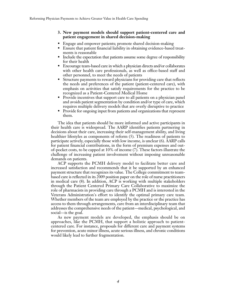#### **3. New payment models should support patient-centered care and patient engagement in shared decision-making**

- Engage and empower patients; promote shared decision-making
- Ensure that patient financial liability in obtaining evidence-based treatments is reasonable
- Include the expectation that patients assume some degree of responsibility for their health
- Encourage team-based care in which a physician directs and/or collaborates with other health care professionals, as well as office-based staff and other personnel, to meet the needs of patients
- Structure payments to reward physicians for providing care that reflects the needs and preferences of the patient (patient-centered care), with emphasis on activities that satisfy requirements for the practice to be recognized as a Patient-Centered Medical Home
- Provide incentives that support care to all patients on a physician panel and avoids patient segmentation by condition and/or type of care, which requires multiple delivery models that are overly disruptive to practice
- Provide for ongoing input from patients and organizations that represent them.

The idea that patients should be more informed and active participants in their health care is widespread. The AARP identifies patients partnering in decisions about their care, increasing their self-management ability, and living healthier lifestyles as components of reform (5). The readiness of patients to participate actively, especially those with low income, is unclear (6). AARP calls for patient financial contributions, in the form of premium expenses and outof-pocket costs, to be capped at 10% of income (7). These factors illustrate the challenge of increasing patient involvement without imposing unreasonable demands on patients.

ACP supports the PCMH delivery model to facilitate better care and increased satisfaction and recommends that it be supported by an enhanced payment structure that recognizes its value. The College commitment to teambased care is reflected in its 2009 position paper on the role of nurse practitioners in medical care (8). In addition, ACP is working with multiple stakeholders through the Patient Centered Primary Care Collaborative to maximize the role of pharmacists in providing care through a PCMH and is interested in the Veterans Administration's effort to identify the optimal primary care team. Whether members of the team are employed by the practice or the practice has access to them through arrangements, care from an interdisciplinary team that addresses the comprehensive needs of the patient—medical, psychological, and social—is the goal.

As new payment models are developed, the emphasis should be on approaches, like the PCMH, that support a holistic approach to patientcentered care. For instance, proposals for different care and payment systems for prevention, acute minor illness, acute serious illness, and chronic conditions would likely lead to further fragmentation.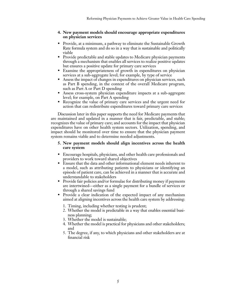#### **4. New payment models should encourage appropriate expenditures on physician services**

- Provide, at a minimum, a pathway to eliminate the Sustainable Growth Rate formula system and do so in a way that is sustainable and politically viable
- Provide predictable and stable updates to Medicare physician payments through a mechanism that enables all services to realize positive updates but ensures a positive update for primary care services
- Examine the appropriateness of growth in expenditures on physician services at a sub-aggregate level; for example, by type of service
- Assess the impact of changes in expenditures on physician services, such as Part B spending, in the context of the overall Medicare program, such as Part A or Part D spending
- Assess cross-system physician expenditure impacts at a sub-aggregate level; for example, on Part A spending
- Recognize the value of primary care services and the urgent need for action that can redistribute expenditures toward primary care services

Discussion later in this paper supports the need for Medicare payments that are maintained and updated in a manner that is fair, predictable, and stable; recognizes the value of primary care; and accounts for the impact that physician expenditures have on other health system sectors. Utilization, spending, and impact should be monitored over time to ensure that the physician payment system remains viable and to determine needed adjustments.

#### **5. New payment models should align incentives across the health care system**

- Encourage hospitals, physicians, and other health care professionals and providers to work toward shared objectives
- Ensure that the data and other informational element needs inherent to a model, such as attributing patients to physicians or identifying an episode of patient care, can be achieved in a manner that is accurate and understandable to stakeholders
- Provide fair policies and/or formulae for distributing money if payments are intertwined—either as a single payment for a bundle of services or through a shared savings fund
- Provide a clear indication of the expected impact of any mechanism aimed at aligning incentives across the health care system by addressing:
	- 1. Timing, including whether testing is prudent;
	- 2. Whether the model is predictable in a way that enables essential business planning;
	- 3. Whether the model is sustainable;
	- 4. Whether the model is practical for physicians and other stakeholders; and
	- 5. The degree, if any, to which physicians and other stakeholders are at financial risk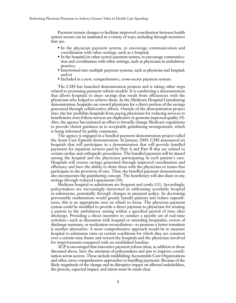Payment system changes to facilitate improved coordination between health system sectors can be instituted in a variety of ways, including through incentives that are:

- In the physician payment system, to encourage communication and coordination with other settings, such as a hospital;
- In the hospital (or other sector) payment system, to encourage communication and coordination with other settings, such as physicians in ambulatory practice;
- Intertwined into multiple payment systems, such as physician and hospital; and/or
- Included in a new, comprehensive, cross-sector payment system.

The CMS has launched demonstration projects and is taking other steps related to promising payment reform models. It is conducting a demonstration that allows hospitals to share savings that result from efficiencies with the physicians who helped to achieve them. In the Medicare Hospital Gainsharing demonstration, hospitals can reward physicians for a direct portion of the savings generated through collaborative efforts. Outside of the demonstration project sites, the law prohibits hospitals from paying physicians for reducing services to beneficiaries even if those services are duplicative or generate improved quality (9). Also, the agency has initiated an effort to broadly change Medicare regulations to provide clearer guidance as to acceptable gainsharing arrangements, which is being informed by public comments.

The agency is engaged in a bundled payment demonstration project called the Acute Care Episode demonstration. In January 2009, CMS announced six hospitals that will participate in a demonstration that will provide bundled payments for inpatient services paid by Part A and Part B that are related to certain cardiac and orthopedic procedures. The bundled payment will be shared among the hospital and the physicians participating in each patient's care. Hospitals will receive savings generated through improved coordination and efficiency and have the ability to share them with the physicians or teams that participate in the provision of care. Thus, the bundled payment demonstration also incorporates the gainsharing concept. The beneficiary will also share in any savings through reduced copayments (10).

Medicare hospital re-admissions are frequent and costly (11). Accordingly, policymakers are increasingly interested in addressing avoidable hospital re-admissions, potentially through changes in payment policy. As decreasing preventable readmissions would greatly benefit patients and reduce expenditures, this is an appropriate area on which to focus. The physician payment system could be modified to provide a direct payment to physicians for treating a patient in the ambulatory setting within a specified period of time after discharge. Providing a direct incentive to conduct a specific set of real-time activities—such as discussion with hospital or attending hospitalist, review of discharge summary, or medication reconciliation—to promote a better transition is another alternative. A more comprehensive approach would be to measure hospital re-admission rates on certain conditions for which they are common over a certain time frame and reward the hospitals and the physicians involved for improvements compared with an established baseline.

ACP is encouraged that innovative payment reform ideas, in addition to those discussed above, have the attention of policymakers and aim to improve coordination across sectors. These include establishing Accountable Care Organizations and other, more comprehensive approaches to bundling payments. Because of the likely magnitude of the change and its disruptive impact on affected stakeholders, the process, expected impact, and intent must be made clear.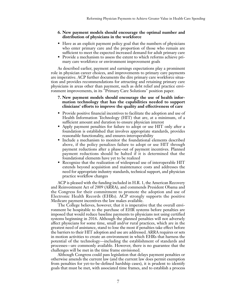#### **6. New payment models should encourage the optimal number and distribution of physicians in the workforce**

- Have as an explicit payment policy goal that the numbers of physicians who enter primary care and the proportion of those who remain are sufficient to meet the expected increased demand for adult primary care
- Provide a mechanism to assess the extent to which reforms achieve primary care workforce or environment improvement goals

As described earlier, payment and earnings expectations play a prominent role in physician career choices, and improvements to primary care payments are imperative. ACP further documents the dire primary care workforce situation and provides recommendations for attracting and retaining primary care physicians in areas other than payment, such as debt relief and practice environment improvements, in its "Primary Care Solutions" position paper.

#### **7. New payment models should encourage the use of health information technology that has the capabilities needed to support clinicians' efforts to improve the quality and effectiveness of care**

- Provide positive financial incentives to facilitate the adoption and use of Health Information Technology (HIT) that are, at a minimum, of a sufficient amount and duration to ensure physician interest
- Apply payment penalties for failure to adopt or use HIT only after a foundation is established that involves appropriate standards, provides reasonable functionality, and ensures interoperability
- Include a mechanism to monitor the foundational elements described above, if the policy penalizes failure to adopt or use HIT through payment reductions after a phase-out of payment incentives. Planned payment reductions should be halted if it is determined that the foundational elements have yet to be realized
- Recognize that the realization of widespread use of interoperable HIT extends beyond acquisition and maintenance costs and addresses the need for appropriate industry standards, technical support, and physician practice workflow changes

ACP is pleased with the funding included in H.R. 1, the American Recovery and Reinvestment Act of 2009 (ARRA), and commends President Obama and the Congress for their commitment to promote the adoption and use of Electronic Health Records (EHRs). ACP strongly supports the positive Medicare payment incentives the law makes available.

The College believes, however, that it is imperative that the overall environment be hospitable to the purchase of EHR systems before penalties are imposed that would reduce baseline payments to physicians not using certified systems beginning in 2016. Although the planned penalties will not adversely affect physicians for some time, small and/or rural practices, which are in the greatest need of assistance, stand to lose the most if penalties take effect before the barriers to their HIT adoption and use are addressed. ARRA requires or sets in motion activities to create an environment in which EHRs that harness the potential of the technology—including the establishment of standards and processes—are commonly available. However, there is no guarantee that the challenges will be met in the time frame envisioned.

Although Congress could pass legislation that delays payment penalties or otherwise amends the current law (and the current law does permit exemption from penalties for yet-to-be-defined hardship cases), it is prudent to identify goals that must be met, with associated time frames, and to establish a process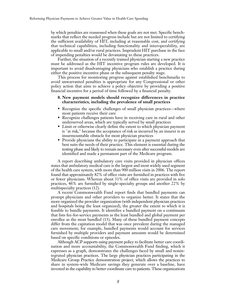by which penalties are reassessed when these goals are not met. Specific benchmarks that reflect the needed progress include but are not limited to certifying the sufficient availability of HIT, including at reasonable cost, and certifying that technical capabilities, including functionality and interoperability, are applicable to small and/or rural practices. Imprudent HIT purchase in the face of impending penalties would be devastating to these practices.

Further, the situation of a recently trained physician starting a new practice must be addressed as the HIT incentive program rules are developed. It is important to avoid disadvantaging physicians who establish a practice during either the positive incentive phase or the subsequent penalty stage.

This process for monitoring progress against established benchmarks to avoid unwarranted penalties is appropriate for any Congressional or other policy action that aims to achieve a policy objective by providing a positive financial incentive for a period of time followed by a financial penalty.

#### **8. New payment models should recognize differences in practice characteristics, including the prevalence of small practices**

- Recognize the specific challenges of small physician practices—where most patients receive their care
- Recognize challenges patients have in receiving care in rural and other underserved areas, which are typically served by small practices
- Limit or otherwise clearly define the extent to which physician payment is "at risk," because the acceptance of risk as incurred by an insurer is an insurmountable obstacle for most physician practices
- Provide physicians the ability to participate in a payment approach that best suits the needs of their practice. This element is essential during the testing phase and likely to remain necessary even after successful models are identified and made a permanent part of the Medicare program.

A report describing ambulatory care visits provided in physician offices states that ambulatory medical care is the largest and most widely used segment of the health care system, with more than 900 million visits in 2006. The report found that approximately 82% of office visits are furnished in practices with five or fewer physicians. Whereas about 31% of office visits are provided in solo practices, 46% are furnished by single-specialty groups and another 22% by multispecialty practices (12).

A recent Commonwealth Fund report finds that bundled payments can prompt physicians and other providers to organize better. It states that the more organized the provider organization (with independent physician practices and hospitals being the least organized), the greater the extent to which it is feasible to bundle payments. It identifies a bundled payment on a continuum that lists fee-for-service payments as the least bundled and global payment per enrollee as the most bundled (13). Many of these bundled payment concepts differ from the capitation model that was once prevalent during the managed care movement; for example, bundled payments would account for services furnished by multiple providers and payment amounts would be determined based on specific conditions or episodes.

Although ACP supports using payment policy to facilitate better care coordination and more accountability, the Commonwealth Fund finding, which it expresses as a graph, demonstrates the challenges faced by small and nonintegrated physician practices. The large physician practices participating in the Medicare Group Practice demonstration project, which allows the practices to share in system-wide Medicare savings they generate over a baseline, have invested in the capability to better coordinate care to patients. These organizations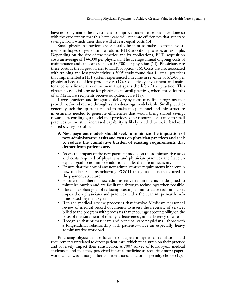have not only made the investment to improve patient care but have done so with the expectation that this better care will generate efficiencies that generate savings, from which their share will at least equal costs (14).

Small physician practices are generally hesitant to make up-front investments in hopes of generating a return. EHR adoption provides an example. Depending on the size of the practice and its applications, EHR acquisition costs an average of \$44,000 per physician. The average annual ongoing costs of maintenance and support are about \$8,500 per physician (15). Physicians cite these costs as the largest barrier to EHR adoption (16). Costs are also associated with training and lost productivity; a 2005 study found that 14 small practices that implemented a HIT system experienced a decline in revenue of \$7,500 per physician because of lost productivity (17). Collectively, investment and maintenance is a financial commitment that spans the life of the practice. This obstacle is especially acute for physicians in small practices, where three-fourths of all Medicare recipients receive outpatient care (18).

Large practices and integrated delivery systems may find programs that provide back-end reward through a shared-savings model viable. Small practices generally lack the up-front capital to make the personnel and infrastructure investments needed to generate efficiencies that would bring shared savings rewards. Accordingly, a model that provides some resource assistance to small practices to invest in increased capability is likely needed to make back-end shared savings possible.

- **9. New payment models should seek to minimize the imposition of new administrative tasks and costs on physician practices and seek to reduce the cumulative burden of existing requirements that detract from patient care.**
- Assess the impact of the new payment model on the administrative tasks and costs required of physicians and physician practices and have an explicit goal to not impose additional tasks that are unnecessary
- Ensure that the cost of any new administrative requirements inherent in new models, such as achieving PCMH recognition, be recognized in the payment structure
- Ensure that inherent new administrative requirements be designed to minimize burden and are facilitated through technology when possible
- Have an explicit goal of reducing existing administrative tasks and costs imposed on physicians and practices under the current, primarily volume-based payment system
- Replace medical review processes that involve Medicare personnel review of medical record documents to assess the necessity of services billed to the program with processes that encourage accountability on the basis of measurement of quality, effectiveness, and efficiency of care
- Recognize that primary care and principal care physicians—those with a longitudinal relationship with patients—have an especially heavy administrative workload

Practicing physicians are forced to navigate a myriad of regulations and requirements unrelated to direct patient care, which put a strain on their practice and adversely impact their satisfaction. A 2007 survey of fourth-year medical students found that they perceived internal medicine as requiring more paperwork, which was, among other considerations, a factor in specialty choice (19).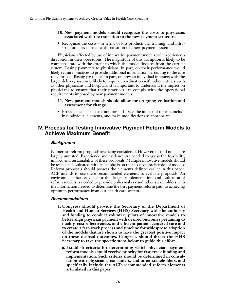#### **10. New payment models should recognize the costs to physicians associated with the transition to the new payment structure**

• Recognize the costs—in terms of lost productivity, training, and infrastructure—associated with transition to a new payment system.

Physicians affected by use of innovative payment models will experience a disruption in their operations. The magnitude of this disruption is likely to be commensurate with the extent to which the model deviates from the current system. Basing payments to physicians, in part, on their performance would likely require practices to provide additional information pertaining to the care they furnish. Basing payments, in part, on how an individual interacts with the larger delivery system is likely to require coordination with other entities, such as other physicians and hospitals. It is important to understand the impact on physicians to ensure that their practices can comply with the operational requirements imposed by new payment models.

#### **11. New payment models should allow for on-going evaluation and assessment for change**

• Provide mechanisms to monitor and assess the impact of reform, including individual elements, and make modifications as appropriate

# **IV. Process for Testing Innovative Payment Reform Models to Achieve Maximum Benefit**

#### *Background*

Numerous reform proposals are being considered. However, most if not all are largely untested. Experience and evidence are needed to assess the feasibility, impact, and sustainability of these proposals. Multiple innovative models should be tested and evaluated, with an emphasis on the most comprehensive of models. Reform proposals should possess the elements defined earlier in this paper. ACP intends to use these recommended elements to evaluate proposals. An environment that provides for the design, implementation, and evaluation of reform models is needed to provide policymakers and other stakeholders with the information needed to determine the best payment reform path to achieving optimum performance from our health care system.

#### *Recommendations*

- **1. Congress should provide the Secretary of the Department of Health and Human Services (HHS) Secretary with the authority and funding to conduct voluntary pilots of innovative models to better align physician payment with desired outcomes pertaining to quality, cost-effectiveness, and efficient patient-centered care and to create a fast-track process and timeline for widespread adoption of the models that are shown to have the greatest positive impact on these desired outcomes. Congress should direct the HHS Secretary to take the specific steps below to guide this effort.**
	- **a. Establish criteria for determining which physician payment reform models should receive priority for fast-track funding and implementation. Such criteria should be determined in consultation with physicians, consumers, and other stakeholders, and specifically include the ACP-recommended reform elements articulated in this paper.**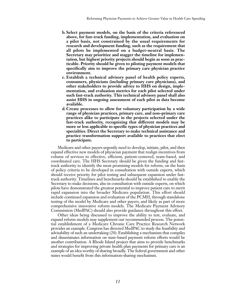- **b. Select payment models, on the basis of the criteria referenced above, for fast-track funding, implementation, and evaluation on a pilot basis, not constrained by the usual requirements for research and development funding, such as the requirement that all pilots be implemented on a budget-neutral basis. The Secretary may prioritize and stagger the timeline for implementation, but highest priority projects should begin as soon as practicable. Priority should be given to piloting payment models that specifically aim to improve the primary care physician practice environment.**
- **c. Establish a technical advisory panel of health policy experts, consumers, physicians (including primary care physicians), and other stakeholders to provide advice to HHS on design, implementation, and evaluation metrics for each pilot selected under such fast-track authority. This technical advisory panel shall also assist HHS in ongoing assessment of each pilot as data become available.**
- **d. Create processes to allow for voluntary participation by a wide range of physician practices, primary care, and non–primary care practices alike to participate in the projects selected under the fast-track authority, recognizing that different models may be more or less applicable to specific types of physician practices and specialties. Direct the Secretary to make technical assistance and practice transformation support available to practices that elect to participate.**

Medicare and other payers urgently need to develop, initiate, pilot, and then expand effective new models of physician payment that realign incentives from volume of services to effective, efficient, patient-centered, team-based, and coordinated care. The HHS Secretary should be given the funding and fasttrack authority to identify the most promising models for reform, on the basis of policy criteria to be developed in consultation with outside experts, which should receive priority for pilot testing and subsequent expansion under fasttrack authority. Timelines and benchmarks should be established to enable the Secretary to make decisions, also in consultation with outside experts, on which pilots have demonstrated the greatest potential to improve patient care to merit rapid expansion into the broader Medicare population. This effort should include continued expansion and evaluation of the PCMH, through standalone testing of the model by Medicare and other payers, and likely as part of more comprehensive innovative reform models. The Medicare Payment Advisory Commission (MedPAC) should also provide guidance throughout this effort.

Other ideas being discussed to improve the ability to test, evaluate, and expand reform models may supplement our recommended process. The potential establishment of a Medicare Chronic Care Practice Research Network provides an example. Congress has directed MedPAC to study the feasibility and advisability of such an undertaking (20). Establishing a mechanism that compiles and disseminates information on state-based payment reform efforts would be another contribution. A Rhode Island project that aims to provide benchmarks and strategies for improving private health plan payments for primary care is an example of an idea worthy of sharing broadly. The federal government and other states would benefit from this information-sharing mechanism.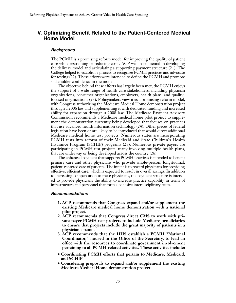# **V. Optimizing Benefit Related to the Patient-Centered Medical Home Model**

#### *Background*

The PCMH is a promising reform model for improving the quality of patient care while restraining or reducing costs. ACP was instrumental in developing the delivery model and articulating a supporting payment structure (21). The College helped to establish a process to recognize PCMH practices and advocate for testing (22). These efforts were intended to define the PCMH and promote stakeholder confidence in the model.

The objective behind these efforts has largely been met; the PCMH enjoys the support of a wide range of health care stakeholders, including physician organizations, consumer organizations, employers, health plans, and qualityfocused organizations (23). Policymakers view it as a promising reform model, with Congress authorizing the Medicare Medical Home demonstration project through a 2006 law and supplementing it with dedicated funding and increased ability for expansion through a 2008 law. The Medicare Payment Advisory Commission recommends a Medicare medical home pilot project to supplement the demonstration currently being developed that focuses on practices that use advanced health information technology (24). Other pieces of federal legislation have been or are likely to be introduced that would direct additional Medicare medical home test projects. Numerous states are incorporating PCMH tests into reform of their Medicaid and State Children's Health Insurance Program (SCHIP) programs (25). Numerous private payers are participating in PCMH test projects, many involving multiple health plans, that are underway or being developed across the country (26).

The enhanced payment that supports PCMH practices is intended to benefit primary care and other physicians who provide whole-person, longitudinal, patient-centered care of patients. The intent is to reward physicians for providing effective, efficient care, which is expected to result in overall savings. In addition to increasing compensation to these physicians, the payment structure is intended to provide physicians the ability to increase practice capability in terms of infrastructure and personnel that form a cohesive interdisciplinary team.

#### *Recommendations*

- **1. ACP recommends that Congress expand and/or supplement the existing Medicare medical home demonstration with a national pilot project.**
- **2. ACP recommends that Congress direct CMS to work with private-payer PCMH test projects to include Medicare beneficiaries to ensure that projects include the great majority of patients in a physician's panel.**
- **3. ACP recommends that the HHS establish a PCMH "National Coordinator," housed in the Office of the Secretary, to lead an office with the resources to coordinate government involvement pertaining to all PCMH-related activities. These activities include:**
- **Coordinating PCMH efforts that pertain to Medicare, Medicaid, and SCHIP**
- **Considering proposals to expand and/or supplement the existing Medicare Medical Home demonstration project**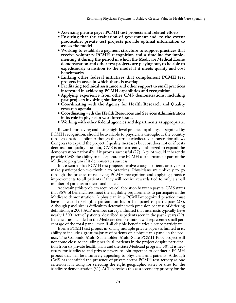- **Assessing private payer PCMH test projects and related efforts**
- **Ensuring that the evaluation of government and, to the extent practicable, private test projects provide optimal information to assess the model**
- **Working to establish a payment structure to support practices that receive voluntary PCMH recognition and a timeline for implementing it during the period in which the Medicare Medical Home demonstration and other test projects are playing out, to be able to expeditiously transition to the model if it meets quality and cost benchmarks**
- **Linking other federal initiatives that complement PCMH test projects in areas in which there is overlap**
- **Facilitating technical assistance and other support to small practices interested in achieving PCMH capabilities and recognition**
- **Applying experience from other CMS demonstrations, including past projects involving similar goals**
- **Coordinating with the Agency for Health Research and Quality research agenda**
- **Coordinating with the Health Resources and Services Administration in its role in physician workforce issues**
- **Working with other federal agencies and departments as appropriate.**

Rewards for having and using high-level practice capability, as signified by PCMH recognition, should be available to physicians throughout the country through a national pilot. Although the current Medicare demonstration allows Congress to expand the project if quality increases but cost does not or if costs decrease but quality does not, CMS is not currently authorized to expand the demonstration nationally if it proves successful (27). A pilot would inherently provide CMS the ability to incorporate the PCMH as a permanent part of the Medicare program if it demonstrates success.

It is essential that PCMH test projects involve enough patients or payers to make participation worthwhile to practices. Physicians are unlikely to go through the process of receiving PCMH recognition and applying practice improvements to all patients if they will receive rewards tied to only a small number of patients in their total panel.

Addressing this problem requires collaboration between payers. CMS states that 86% of beneficiaries meet the eligibility requirements to participate in the Medicare demonstration. A physician in a PCMH-recognized practice must have at least 150 eligible patients on his or her panel to participate (28). Although panel size is difficult to determine with precision because of differing definitions, a 2003 ACP member survey indicated that internists typically have nearly 1,500 "active" patients, described as patients seen in the past 2 years (29). Beneficiaries included in the Medicare demonstration will represent a small percentage of the total panel, even if all eligible beneficiaries elect to participate.

Even a PCMH test project involving multiple private payers is limited in its ability to include a great majority of patients on a physician's panel in the project. The Colorado Multi-Stakeholder, Multi-State PCMH Pilot project will not come close to including nearly all patients in the project despite participation from six private health plans and the state Medicaid program (30). It is necessary for Medicare and private payers to join together to conduct a PCMH project that will be intuitively appealing to physicians and patients. Although CMS has identified the presence of private sector PCMH test activity as one criterion it is using for selecting the eight geographic states or sites for the Medicare demonstration (31), ACP perceives this as a secondary priority for the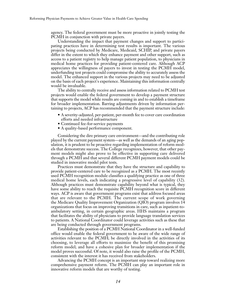agency. The federal government must be more proactive in jointly testing the PCMH in conjunction with private payers.

Understanding the impact that payment changes and support to participating practices have in determining test results is important. The various projects being conducted by Medicare, Medicaid, SCHIP, and private payers differ in the extent to which they enhance payment and other support, such as access to a patient registry to help manage patient population, to physicians in medical home practices for providing patient-centered care. Although ACP appreciates the willingness of payers to invest in testing the PCMH model, underfunding test projects could compromise the ability to accurately assess the model. The enhanced support in the various projects may need to be adjusted on the basis of each project's experience. Maintaining this information centrally would be invaluable.

The ability to centrally receive and assess information related to PCMH test projects would enable the federal government to develop a payment structure that supports the model while results are coming in and to establish a timeframe for broader implementation. Barring adjustments driven by information pertaining to projects, ACP has recommended that the payment structure include:

- A severity-adjusted, per-patient, per-month fee to cover care coordination efforts and needed infrastructure
- Continued fee-for-service payments
- A quality-based performance component.

Considering the dire primary care environment—and the contributing role played by the current payment system—as well as the demands of an aging population, it is prudent to be proactive regarding implementation of reform models that demonstrate success. The College recognizes, however, that other payment models might also prove to be effective in supporting care delivered through a PCMH and that several different PCMH payment models could be studied in innovative model pilot tests.

Practices must demonstrate that they have the structure and capability to provide patient-centered care to be recognized as a PCMH. The most recently used PCMH recognition module classifies a qualifying practice as one of three medical home levels, each indicating a progressive level of capability (32). Although practices must demonstrate capability beyond what is typical, they have some ability to reach the requisite PCMH recognition score in different ways. ACP is aware that government programs exist that address focused areas that are relevant to the PCMH. The current scope of work governing the Medicare Quality Improvement Organization (QIO) program involves 14 organizations that focus on improving transitions in care, such as inpatient-toambulatory setting, in certain geographic areas. HHS maintains a program that facilitates the ability of physicians to provide language translation services to patients. A National Coordinator could leverage activities such as these that are being conducted through government programs.

Establishing the position of a PCMH National Coordinator in a well-funded office would enable the federal government to be aware of the wide range of activities relevant to the PCMH; be directly involved in the activities of its choosing, to leverage all efforts to maximize the benefit of this promising reform model; and have a cohesive plan for broader implementation if the model proves successful. Of note, it would also raise the profile of the PCMH, consistent with the interest it has received from stakeholders.

Advancing the PCMH concept is an important step toward realizing more comprehensive payment reform. The PCMH can play an important role in innovative reform models that are worthy of testing.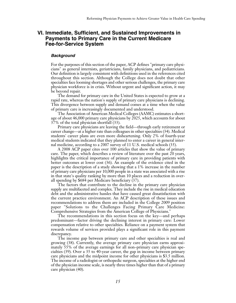# **VI. Immediate, Sufficient, and Sustained Improvements in Payments to Primary Care in the Current Medicare Fee-for-Service System**

#### *Background*

For the purposes of this section of the paper, ACP defines "primary care physicians" as general internists, geriatricians, family physicians, and pediatricians. Our definition is largely consistent with definitions used in the references cited throughout this section. Although the College does not doubt that other specialties face looming shortages and other serious challenges, the primary care physician workforce is in crisis. Without urgent and significant action, it may be beyond repair.

The demand for primary care in the United States is expected to grow at a rapid rate, whereas the nation's supply of primary care physicians is declining. This divergence between supply and demand comes at a time when the value of primary care is increasingly documented and understood.

The Association of American Medical Colleges (AAMC) estimates a shortage of about 46,000 primary care physicians by 2025, which accounts for about 37% of the total physician shortfall (33).

Primary care physicians are leaving the field—through early retirement or career change—at a higher rate than colleagues in other specialties (34). Medical students' career plans are even more disheartening. Only 2% of fourth-year medical students indicated that they planned to enter a career in general internal medicine, according to a 2007 survey of 11 U.S. medical schools (35).

A 2008 ACP paper cites over 100 articles that show the value of primary care. The paper, which describes a review of literature over the past 20 years, highlights the critical importance of primary care in providing patients with better outcomes at lower cost (36). An example of the evidence cited in the paper is the description of a study showing that a 1% increase in the number of primary care physicians per 10,000 people in a state was associated with a rise in that state's quality ranking by more than 10 places and a reduction in overall spending by \$684 per Medicare beneficiary (37).

The factors that contribute to the decline in the primary care physician supply are multifaceted and complex. They include the rise in medical education debt and the administrative hassles that have caused great dissatisfaction with the current practice environment. An ACP description of these issues and recommendations to address them are included in the College 2009 position paper "Solutions to the Challenges Facing Primary Care Medicine: Comprehensive Strategies from the American College of Physicians."

The recommendations in this section focus on the key—and perhaps predominant—factor driving the declining interest in primary care: Lower compensation relative to other specialties. Reliance on a payment system that rewards volume of services provided plays a significant role in this payment discrepancy.

The income gap between primary care and other specialties is real and growing (38). Currently, the average primary care physician earns approximately 55% of the average earnings for all non–primary care physician specialties (39). Over a 35 to 40-year career, the gap in income between primary care physicians and the midpoint income for other physicians is \$3.5 million. The income of a radiologist or orthopedic surgeon, specialties at the higher end of the physician income scale, is nearly three times higher than that of a primary care physician (40).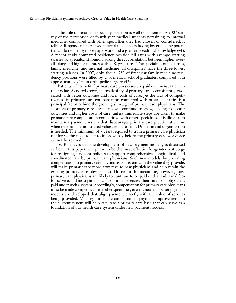The role of income in specialty selection is well documented. A 2007 survey of the perception of fourth-year medical students pertaining to internal medicine, compared with other specialties they had chosen or considered, is telling. Respondents perceived internal medicine as having lower income potential while requiring more paperwork and a greater breadth of knowledge (41). A recent study compared residency position fill rates with average starting salaries by specialty. It found a strong direct correlation between higher overall salary and higher fill rates with U.S. graduates. The specialties of pediatrics, family medicine, and internal medicine (all disciplines) have the three lowest starting salaries. In 2007, only about 42% of first-year family medicine residency positions were filled by U.S. medical school graduates, compared with approximately 94% in orthopedic surgery (42).

Patients will benefit if primary care physicians are paid commensurate with their value. As noted above, the availability of primary care is consistently associated with better outcomes and lower costs of care, yet the lack of competitiveness in primary care compensation compared with other specialties is a principal factor behind the growing shortage of primary care physicians. The shortage of primary care physicians will continue to grow, leading to poorer outcomes and higher costs of care, unless immediate steps are taken to make primary care compensation competitive with other specialties. It is illogical to maintain a payment system that discourages primary care practice at a time when need and demonstrated value are increasing. Dramatic and urgent action is needed. The minimum of 7 years required to train a primary care physician reinforces the need to act to improve pay before the primary care workforce cannot be revived.

ACP believes that the development of new payment models, as discussed earlier in this paper, will prove to be the most effective longer-term strategy for realigning payment policies to support comprehensive, longitudinal, and coordinated care by primary care physicians. Such new models, by providing compensation to primary care physicians consistent with the value they provide, will make primary care more attractive to new physicians and help retain the existing primary care physician workforce. In the meantime, however, most primary care physicians are likely to continue to be paid under traditional feefor-service, and most patients will continue to receive their care from physicians paid under such a system. Accordingly, compensation for primary care physicians must be made competitive with other specialties, even as new and better payment models are developed that align payment directly with the value of services being provided. Making immediate and sustained payment improvements in the current system will help facilitate a primary care base that can serve as a foundation of our health care system under new payment models.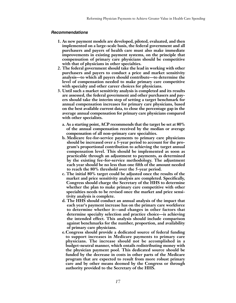#### *Recommendations*

- **1. As new payment models are developed, piloted, evaluated, and then implemented on a large-scale basis, the federal government and all purchasers and payers of health care must also make immediate improvements in existing payment systems, on the principle that compensation of primary care physicians should be competitive with that of physicians in other specialties.**
- **2. The federal government should take the lead in working with other purchasers and payers to conduct a price and market sensitivity analysis—to which all payers should contribute—to determine the level of compensation needed to make primary care competitive with specialty and other career choices for physicians.**
- **3. Until such a market sensitivity analysis is completed and its results are assessed, the federal government and other purchasers and payers should take the interim step of setting a target benchmark for annual compensation increases for primary care physicians, based on the best available current data, to close the percentage gap in the average annual compensation for primary care physicians compared with other specialists.**
	- **a. As a starting point, ACP recommends that the target be set at 80% of the annual compensation received by the median or average compensation of all non –primary care specialties.**
	- **b. Medicare fee-for-service payments to primary care physicians should be increased over a 5-year period to account for the program's proportional contribution to achieving the target annual compensation level. This should be implemented as soon as practicable through an adjustment to payments, as determined by the existing fee-for-service methodology. The adjustment each year should be no less than one fifth of the amount needed to reach the 80% threshold over the 5-year period.**
	- **c. The initial 80% target could be adjusted once the results of the market and price sensitivity analysis are completed. Specifically, Congress should charge the Secretary of the HHS to determine whether the plan to make primary care competitive with other specialties needs to be revised once the market and price sensitivity analysis is complete.**
	- **d. The HHS should conduct an annual analysis of the impact that each year's payment increase has on the primary care workforce to determine whether it—and changes in other factors that determine specialty selection and practice choice—is achieving the intended effect. This analysis should include comparison against benchmarks for the number, proportion, and availability of primary care physicians.**
	- **e.Congress should provide a dedicated source of federal funding to support increases in Medicare payments to primary care physicians. The increase should not be accomplished in a budget-neutral manner, which entails redistributing money with the physician payment pool. This dedicated source should be funded by the decrease in costs in other parts of the Medicare program that are expected to result from more robust primary care and by other means deemed by the Congress or through authority provided to the Secretary of the HHS.**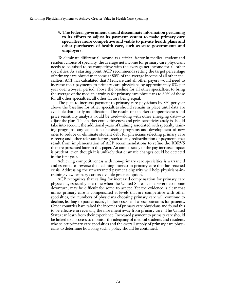#### **4. The federal government should disseminate information pertaining to its efforts to adjust its payment system to make primary care specialties more competitive and viable to private health plans and other purchasers of health care, such as state governments and employers.**

To eliminate differential income as a critical factor in medical student and resident choice of specialty, the average net income for primary care physicians needs to be raised to be competitive with the average net income for all other specialties. As a starting point, ACP recommends setting the target percentage of primary care physician income at 80% of the average income of all other specialties. ACP has calculated that Medicare and all other payers would need to increase their payments to primary care physicians by approximately 8% per year over a 5-year period, above the baseline for all other specialties, to bring the average of the median earnings for primary care physicians to 80% of those for all other specialties, all other factors being equal.

The plan to increase payment to primary care physicians by 8% per year above the baseline for other specialties should remain in place until data are available that justify modification. The results of a market competitiveness and price sensitivity analysis would be used—along with other emerging data—to adjust the plan. The market competitiveness and price sensitivity analysis should take into account the additional years of training associated with specialty training programs; any expansion of existing programs and development of new ones to reduce or eliminate student debt for physicians selecting primary care careers; and other relevant factors, such as any redistribution of payments that result from implementation of ACP recommendations to refine the RBRVS that are presented later in this paper. An annual study of the pay increase impact is prudent, even though it is unlikely that dramatic changes could be detected in the first year.

Achieving competitiveness with non–primary care specialties is warranted and essential to reverse the declining interest in primary care that has reached crisis. Addressing the unwarranted payment disparity will help physicians-intraining view primary care as a viable practice option.

ACP recognizes that calling for increased compensation for primary care physicians, especially at a time when the United States is in a severe economic downturn, may be difficult for some to accept. Yet the evidence is clear that unless primary care is compensated at levels that are competitive with other specialties, the numbers of physicians choosing primary care will continue to decline, leading to poorer access, higher costs, and worse outcomes for patients. Other countries have raised the incomes of primary care physicians and found this to be effective in reversing the movement away from primary care. The United States can learn from their experience. Increased payment to primary care should be linked to a process to monitor the adequacy of medical students and residents who select primary care specialties and the overall supply of primary care physicians to determine how long such a policy should be continued.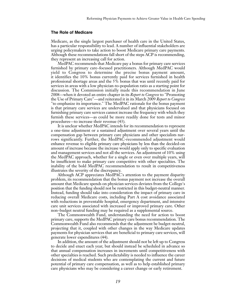#### **The Role of Medicare**

Medicare, as the single largest purchaser of health care in the United States, has a particular responsibility to lead. A number of influential stakeholders are urging policymakers to take action to boost Medicare primary care payments. Although these recommendations fall short of the steps ACP is recommending, they represent an increasing call for action.

MedPAC recommends that Medicare pay a bonus for primary care services furnished by primary care–focused practitioners. Although MedPAC would yield to Congress to determine the precise bonus payment amount, it identifies the 10% bonus currently paid for services furnished in health professional shortage areas and the 5% bonus that was until recently paid for services in areas with a low physician-to-population ratio as a starting point for discussion. The Commission initially made this recommendation in June 2008—when it devoted an entire chapter in its *Report to Congress* to "Promoting the Use of Primary Care"—and reiterated it in its March 2009 *Report to Congress* "to emphasize its importance." The MedPAC rationale for the bonus payment is that primary care services are undervalued and that physicians focused on furnishing primary care services cannot increase the frequency with which they furnish these services—as could be more readily done for tests and minor procedures—to increase their revenue (43).

It is unclear whether MedPAC intends for its recommendation to represent a one-time adjustment or a sustained adjustment over several years until the compensation gap between primary care physicians and other specialists narrows significantly. Further, the MedPAC-recommended adjustment would enhance revenue to eligible primary care physicians by less than the decided-on amount of increase because the increase would apply only to specific evaluation and management services and not all the services. An adjustment of 10% using the MedPAC approach, whether for a single or even over multiple years, will be insufficient to make primary care competitive with other specialties. The inability of the bold MedPAC recommendation to result in competitiveness illustrates the severity of the discrepancy.

Although ACP appreciates MedPAC's attention to the payment disparity problem, its recommendation that the bonus payment not increase the overall amount that Medicare spends on physician services deviates from the College's position that the funding should not be restricted in this budget-neutral manner. Instead, funding should take into consideration the impact of primary care in reducing overall Medicare costs, including Part A cost avoidance associated with reductions in preventable hospital, emergency department, and intensive care unit services associated with increased or improved primary care. Other non–budget neutral funding may be required as a supplemental source.

The Commonwealth Fund, understanding the need for action to boost primary care, supports the MedPAC primary care bonus recommendation. The Commonwealth Fund also recommends that the adjustment be budget-neutral, projecting that it, coupled with other changes in the way Medicare updates payments for physician services that are beneficial to primary care services, will generate lower expenditures (44).

In addition, the amount of the adjustment should not be left up to Congress to decide and enact each year, but should instead be scheduled in advance so that annual compensation increases in increments until competitiveness with other specialties is reached. Such predictability is needed to influence the career decisions of medical students who are contemplating the current and future potential of primary care compensation, as well as to help established primary care physicians who may be considering a career change or early retirement.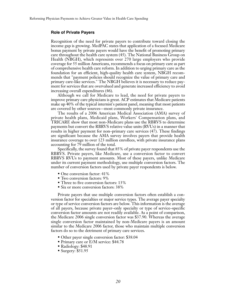#### **Role of Private Payers**

Recognition of the need for private payers to contribute toward closing the income gap is growing. MedPAC states that application of a focused Medicare bonus payment by private payers would have the benefit of promoting primary care throughout the health care system (45). The National Business Group on Health (NBGH), which represents over 270 large employers who provide coverage for 55 million Americans, recommends a focus on primary care as part of comprehensive health care reform. In addition to urging primary care as the foundation for an efficient, high-quality health care system, NBGH recommends that "payment policies should recognize the value of primary care and primary care-like services." The NBGH believes it is necessary to reduce payment for services that are overvalued and generate increased efficiency to avoid increasing overall expenditures (46).

Although we call for Medicare to lead, the need for private payers to improve primary care physicians is great. ACP estimates that Medicare patients make up 40% of the typical internist's patient panel, meaning that most patients are covered by other sources—most commonly private insurance.

The results of a 2006 American Medical Association (AMA) survey of private health plans, Medicaid plans, Workers' Compensation plans, and TRICARE show that most non-Medicare plans use the RBRVS to determine payments but convert the RBRVS relative value units (RVUs) in a manner that results in higher payment for non–primary care services (47). These findings are significant because the AMA survey involves payers that provide health insurance coverage to over 123 million enrollees, with private insurance plans accounting for 79 million of the total.

Specifically, the survey found that 85% of private payer respondents use the RBRVS. Private payers, like Medicare, use a conversion factor to convert RBRVS RVUs to payment amounts. Most of these payers, unlike Medicare under its current payment methodology, use multiple conversion factors. The number of conversion factors used by private payer respondents is below.

- One conversion factor: 41%
- Two conversion factors: 9%
- Three to five conversion factors: 13%
- Six or more conversion factors: 38%

Private payers that use multiple conversion factors often establish a conversion factor for specialties or major service types. The average payer specialty or type of service conversion factors are below. This information is the average of all payers, because private payer–only specialty or type of service–specific conversion factor amounts are not readily available. As a point of comparison, the Medicare 2006 single conversion factor was \$37.90. Whereas the average single conversion factor maintained by non-Medicare payers is an amount similar to the Medicare 2006 factor, those who maintain multiple conversion factors do so to the detriment of primary care services.

- Other payer single conversion factor: \$38.04
- Primary care or E/M service: \$44.78
- Radiology: \$48.91
- Surgery: \$51.95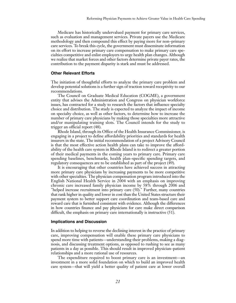Medicare has historically undervalued payment for primary care services, such as evaluation and management services. Private payers use the Medicare methodology and then compound this effect by paying more for non–primary care services. To break this cycle, the government must disseminate information on its effort to increase primary care compensation to make primary care specialties competitive and enlist employers to urge health plan changes. Although we realize that market forces and other factors determine private payer rates, the contribution to the payment disparity is stark and must be addressed.

#### **Other Relevant Efforts**

The initiation of thoughtful efforts to analyze the primary care problem and develop potential solutions is a further sign of traction toward receptivity to our recommendations.

The Council on Graduate Medical Education (COGME), a government entity that advises the Administration and Congress on physician workforce issues, has contracted for a study to research the factors that influence specialty choice and distribution. The study is expected to analyze the impact of income on specialty choice, as well as other factors, to determine how to increase the number of primary care physicians by making those specialties more attractive and/or manipulating training slots. The Council intends for the study to trigger an official report (48).

Rhode Island, through its Office of the Health Insurance Commissioner, is engaging in a project to define affordability priorities and standards for health insurers in the state. The initial recommendation of a project Advisory Council is that the most effective action health plans can take to improve the affordability of the health care system in Rhode Island is to redirect a greater portion of their medical payments in the coming years to primary care. Primary care spending baselines, benchmarks, health plan–specific spending targets, and regulatory consequences are to be established as part of the project (49).

It is encouraging that other countries have achieved success in attracting more primary care physicians by increasing payments to be more competitive with other specialties. The physician compensation program introduced into the English National Health Service in 2004 with an emphasis on improving chronic care increased family physician income by 58% through 2006 and "helped increase recruitment into primary care (50)." Further, many countries that rank higher in quality and lower in cost than the United States structure their payment system to better support care coordination and team-based care and reward care that is furnished consistent with evidence. Although the differences in how countries finance and pay physicians for care make direct comparison difficult, the emphasis on primary care internationally is instructive (51).

#### **Implications and Discussion**

In addition to helping to reverse the declining interest in the practice of primary care, improving compensation will enable these primary care physicians to spend more time with patients—understanding their problems, making a diagnosis, and discussing treatment options, as opposed to rushing to see as many patients in a day as possible. This should result in improved physician–patient relationships and a more rational use of resources.

The expenditure required to boost primary care is an investment—an investment in a more solid foundation on which to build an improved health care system—that will yield a better quality of patient care at lower overall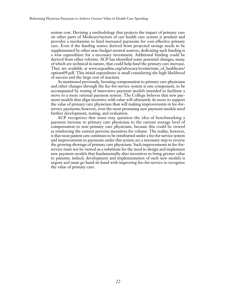system cost. Devising a methodology that projects the impact of primary care on other parts of Medicare/sectors of our health care system is prudent and provides a mechanism to fund increased payments for cost-effective primary care. Even if the funding source derived from projected savings needs to be supplemented by other non–budget-neutral sources, dedicating such funding is a wise expenditure for a necessary investment. Additional funding could be derived from other reforms. ACP has identified some potential changes, many of which are technical in nature, that could help fund the primary care increase. They are available at www.acponline.org/advocacy/events/state\_of\_healthcare/ options09.pdf. This initial expenditure is small considering the high likelihood of success and the large cost of inaction.

As mentioned previously, boosting compensation to primary care physicians and other changes through the fee-for-service system is one component, to be accompanied by testing of innovative payment models intended to facilitate a move to a more rational payment system. The College believes that new payment models that align incentive with value will ultimately do more to support the value of primary care physicians than will making improvements in fee-forservice payments; however, even the most promising new payment models need further development, testing, and evaluation.

ACP recognizes that some may question the idea of benchmarking a payment increase to primary care physicians to the current average level of compensation to non–primary care physicians, because this could be viewed as reinforcing the current perverse incentives for volume. The reality, however, is that most patient care continues to be reimbursed under a fee-for-service system and improvements to payments under this system are a necessary step to reverse the growing shortage of primary care physicians. Such improvements in fee-forservice must not be viewed as a substitute for the need to design and implement new payment models that fundamentally alter incentives to bring greater value to patients; indeed, development and implementation of such new models is urgent and must go hand-in-hand with improving fee-for-service to recognize the value of primary care.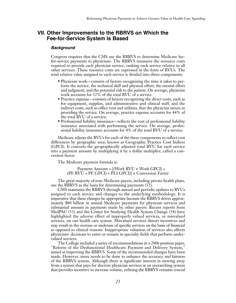# **VII. Other Improvements to the RBRVS on Which the Fee-for-Service System Is Based**

#### *Background*

Congress requires that the CMS use the RBRVS to determine Medicare feefor-service payments to physicians. The RBRVS measures the resource costs required to provide each physician service, ranking each service relative to all other services. These resource costs are expressed in the form of RVUs. The total relative value assigned to each service is divided into three components:

- Physician work—consists of factors recognizing the time it takes to perform the service, the technical skill and physical effort, the mental effort and judgment, and the potential risk to the patient. On average, physician work accounts for 52% of the total RVU of a service.
- Practice expense—consists of factors recognizing the direct costs, such as for equipment, supplies, and administrative and clinical staff, and the indirect costs, such as office rent and utilities, that the physician incurs in providing the service. On average, practice expense accounts for 44% of the total RVU of a service;
- Professional liability insurance—reflects the cost of professional liability insurance associated with performing the service. On average, professional liability insurance accounts for 4% of the total RVU of a service.

Medicare adjusts the RVUs for each of the three components to reflect cost differences by geographic area, known as Geographic Practice Cost Indices (GPCI). It converts the geographically adjusted total RVU for each service into a payment amount by multiplying it by a dollar multiplier, called a conversion factor.

The Medicare payment formula is:

#### Payment Amount = [(Work RVU × Work GPCI) + (PE RVU + PE GPCI) + PLI GPCI)] × Conversion Factor

The great majority of non-Medicare payers, including private health plans, use the RBRVS as the basis for determining payments (52).

CMS maintains the RBRVS through annual and periodic updates to RVUs assigned to each service and changes to the underlying methodology. It is imperative that these changes be appropriate because the RBRVS drives approximately \$80 billion in annual Medicare payments for physician services and substantial amount in payments made by other payers. Recent reports from MedPAC (53) and the Center for Studying Health System Change (54) have highlighted the adverse effect of improperly valued services, or misvalued services, on our health care system. Misvalued services distort incentives and may result in the overuse or underuse of specific services on the basis of financial as opposed to clinical reasons. Inappropriate valuation of services also affects physicians' decisions to enter or remain in specialty fields that perform undervalued services.

The College included a series of recommendations in a 2006 position paper, "Reform of the Dysfunctional Healthcare Payment and Delivery System," aimed at improving the RBRVS. Some of the recommended changes have been made. However, more needs to be done to enhance the accuracy and fairness of the RBRVS system. Although there is significant interest in moving away from a system that pays for discrete physician services in an overarching system that provides incentive to increase volume, refining the RBRVS remains crucial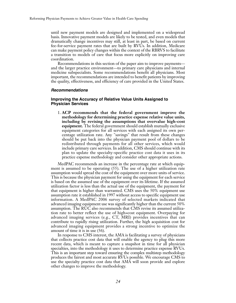until new payment models are designed and implemented on a widespread basis. Innovative payment models are likely to be tested, and even models that dramatically change incentives may still, at least in part, be based on current fee-for-service payment rates that are built by RVUs. In addition, Medicare can make payment policy changes within the context of the RBRVS to facilitate a transition to models of care that focus more explicitly on improving care coordination.

Recommendations in this section of the paper aim to improve payments and the larger practice environment—to primary care physicians and internal medicine subspecialists. Some recommendations benefit all physicians. Most important, the recommendations are intended to benefit patients by improving the quality, effectiveness, and efficiency of care provided in the United States.

#### *Recommendations*

#### **Improving the Accuracy of Relative Value Units Assigned to Physician Services**

1. **ACP recommends that the federal government improve the methodology for determining practice expense relative value units, including by revising the assumptions that overvalue high-cost equipment.** The federal government should establish mutually exclusive equipment categories for all services with each assigned its own percentage utilization rate. Any "savings" that result from these changes should be put back into the physician payment pool of dollars to be redistributed through payments for all other services, which would include primary care services. In addition, CMS should continue with its plan to update the specialty-specific practice cost data it uses in its practice expense methodology and consider other appropriate actions.

MedPAC recommends an increase in the percentage rate at which equipment is assumed to be operating (55). The use of a higher utilization rate assumption would spread the cost of the equipment over more units of service. This is because the physician payment for using the equipment for each service is based on the assumed use of the equipment over its lifetime. If the assumed utilization factor is less than the actual use of the equipment, the payment for that equipment is higher than warranted. CMS uses the 50% equipment use assumption rate it established in 1997 without access to specific equipment use information. A MedPAC 2006 survey of selected markets indicated that advanced imaging equipment use was significantly higher than the current 50% assumption. The RUC also recommends that CMS revise its assumed utilization rate to better reflect the use of high=cost equipment. Overpaying for advanced imaging services (e.g., CT, MRI) provides incentives that can contribute to rapidly rising utilization. Further, the high acquisition cost for advanced imaging equipment provides a strong incentive to optimize the amount of time it is in use (56).

In response to CMS interest, the AMA is facilitating a survey of physicians that collects practice cost data that will enable the agency to plug this more recent data, which is meant to capture a snapshot in time for all physician specialties, into the methodology it uses to determine practice expense RVUs. This is an important step toward ensuring the complex multistep methodology produces the fairest and most accurate RVUs possible. We encourage CMS to use the specialty practice cost data that AMA will soon provide and explore other changes to improve the methodology.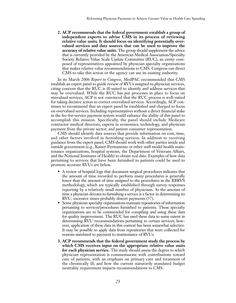**2. ACP recommends that the federal government establish a group of independent experts to advise CMS in its process of reviewing relative value units. It should focus on identifying potentially overvalued services and data sources that can be used to improve the accuracy of relative value units.** The group should supplement the advice that is currently provided by the American Medical Association/Specialty Society Relative Value Scale Update Committee (RUC), an entity composed of representatives appointed by physician specialty organizations that makes relative value recommendations to CMS. Congress can direct CMS to take this action or the agency can use its existing authority.

In its March 2006 *Report to Congress*, MedPAC recommended that CMS establish an expert panel to guide review of RVUs assigned to physician services, citing concern that the RUC is ill-suited to identify and address services that may be overvalued. While the RUC has put processes in place to focus on misvalued services, ACP is not convinced that the RUC process is well-suited for taking decisive action to correct overvalued services. Accordingly, ACP continues to recommend that an expert panel be established and charged to focus on overvalued services. Including representatives without a direct financial stake in the fee-for-service payment system would enhance the ability of this panel to accomplish this mission. Specifically, the panel should include Medicare contractor medical directors; experts in economics, technology, and physician payment from the private sector; and patient consumer representation.

CMS should identify data sources that provide information on cost, time, and other factors involved in furnishing services. In addition to receiving guidance from the expert panel, CMS should work with other parties inside and outside government (e.g., Kaiser-Permanente or other staff model health maintenance organizations, hospital systems, the Department of Veterans Affairs, and the National Institutes of Health) to obtain real data. Examples of how data pertaining to services that have been furnished to patients could be used to promote accurate RVUs are below.

- A review of hospital logs that document surgical procedures indicates that the amount of time recorded to perform many procedures is generally lower than the amount of time assigned to the procedures in the RBRVS methodology, which are typically established through survey responses reporting by a relatively small number of physicians. As the amount of time a physician devotes to furnishing a service is a factor in determining its RVU, excessive times probably distort payments (57).
- Some physician specialty organizations maintain repositories of information pertaining to services/procedures furnished to patients. These specialty organizations are to be commended for compiling and using these data for quality improvement. The RUC has used these data to some extent in determining RVU recommendations pertaining to certain services; however, application of these data in this context has been somewhat selective. It may be possible to apply data from repositories that were collected for reasons unrelated to payment to maintenance of RVUs.
- **3. ACP recommends that the federal government study the process by which CMS receives input on the appropriate relative value units for each physician service.** The study should assess the degree to which physician representation is commensurate with contributions toward care of patients, with an emphasis on primary care and treatment of the chronically ill; and how the current statutorily mandated budget neutrality requirement impacts recommendations to CMS.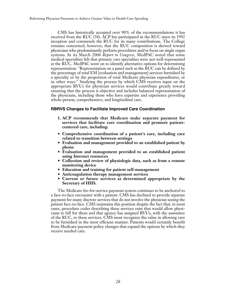CMS has historically accepted over 90% of the recommendations it has received from the RUC (58). ACP has participated in the RUC since its 1992 inception and commends the RUC for its many contributions. The College remains concerned, however, that the RUC composition is skewed toward physicians who predominantly perform procedures and/or focus on single organ systems. In its March 2006 *Report to Congress*, MedPAC noted that some medical specialties felt that primary care specialties were not well-represented at the RUC. MedPAC went on to identify alternative options for determining representation: "Representation on a panel such as the RUC can be defined by the percentage of total EM [evaluation and management] services furnished by a specialty or by the proportion of total Medicare physician expenditures, or in other ways." Studying the process by which CMS receives input on the appropriate RVUs for physician services would contribute greatly toward ensuring that the process is objective and includes balanced representation of the physicians, including those who have expertise and experience providing whole-person, comprehensive, and longitudinal care.

#### **RBRVS Changes to Facilitate Improved Care Coordination**

- **1. ACP recommends that Medicare make separate payment for services that facilitate care coordination and promote patientcentered care, including:**
- **Comprehensive coordination of a patient's care, including care related to transition between settings**
- **Evaluation and management provided to an established patient by phone**
- **Evaluation and management provided to an established patient using Internet resources**
- **Collection and review of physiologic data, such as from a remote monitoring device**
- **Education and training for patient self-management**
- **Anticoagulation therapy management services**
- **Current or future services as determined appropriate by the Secretary of HHS.**

The Medicare fee-for-service payment system continues to be anchored to a face-to-face encounter with a patient. CMS has declined to provide separate payment for many discrete services that do not involve the physician seeing the patient face-to-face. CMS maintains this position despite the fact that, in most cases, procedure codes describing these services exist that would allow physicians to bill for them and that agency has assigned RVUs, with the assistance of the RUC, to these services. CMS must recognize the value in allowing care to be furnished in the most efficient manner. Patients would certainly benefit from Medicare payment policy changes that expand the options by which they receive needed care.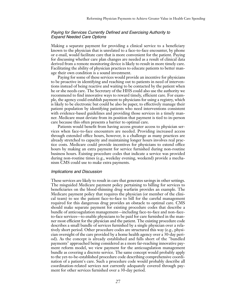#### *Paying for Services Currently Defined and Exercising Authority to Expand Needed Care Options*

Making a separate payment for providing a clinical service to a beneficiary known to the physician that is unrelated to a face-to-face encounter, by phone or e-mail, would facilitate care that is more convenient for the patient. Paying for discussing whether care plan changes are needed as a result of clinical data derived from a remote monitoring device is likely to result in more timely care. Facilitating the ability of physician practices to educate patients to better manage their own condition is a sound investment.

Paying for some of these services would provide an incentive for physicians to be proactive in identifying and reaching out to patients in need of interventions instead of being reactive and waiting to be contacted by the patient when he or she needs care. The Secretary of the HHS could also use the authority we recommend to find innovative ways to reward timely, efficient care. For example, the agency could establish payment to physicians for using a registry, which is likely to be electronic but could be also be paper, to effectively manage their patient population by identifying patients who need interventions consistent with evidence-based guidelines and providing those services in a timely manner. Medicare must deviate from its position that payment is tied to in-person care because this often presents a barrier to optimal care.

Patients would benefit from having access greater access to physician services when face-to-face encounters are needed. Providing increased access through extended office hours, however, is a challenge as many practices are already stretched to capacity and maintaining longer hours involves real practice costs. Medicare could provide incentives for physicians to extend office hours by making an extra payment for service furnished during non-routine business hours. Existing procedure codes that indicate a service was provided during non-routine times (e.g., weekday evening, weekend) provide a mechanism CMS could use to make extra payments.

#### *Implications and Discussion*

These services are likely to result in care that generates savings in other settings. The misguided Medicare payment policy pertaining to billing for services to beneficiaries on the blood-thinning drug warfarin provides an example. The Medicare payment policy that requires the physician (or member of the clinical team) to see the patient face-to-face to bill for the careful management required for this dangerous drug provides an obstacle to optimal care. CMS should make separate payment for existing procedure codes that describe a bundle of anticoagulation management—including face-to-face and non–faceto-face services—to enable physicians to be paid for care furnished in the manner most efficient for the physician and the patient. The existing procedure code describes a small bundle of services furnished by a single physician over a relatively short period. Other procedure codes are structured this way (e.g., physician oversight of the care provided by a home health agency over a 30-day period). As the concept is already established and falls short of the "bundled payments" approached being considered as a more far-reaching innovative payment reform model, we view payment for the anticoagulation management bundle as covering a discrete service. The same concept would probably apply to the yet-to-be-established procedure code describing comprehensive coordination of a patient's care. Such a procedure code would probably describe all coordination-related services not currently adequately covered through payment for other services furnished over a 30-day period.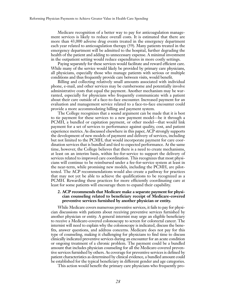Medicare recognition of a better way to pay for anticoagulation management services is likely to reduce overall costs. It is estimated that there are more than 43,000 adverse drug events treated in the emergency department each year related to anticoagulation therapy (59). Many patients treated in the emergency department will be admitted to the hospital, further degrading the health of the patient and adding to unnecessary expense. A minimal investment in the outpatient setting would reduce expenditures in more costly settings.

Paying separately for these services would facilitate and reward efficient care. While many of the service would likely be provided by primary care physicians, all physicians, especially those who manage patients with serious or multiple conditions and thus frequently provide care between visits, would benefit.

Billing and collecting relatively small amounts associated with individual phone, e-mail, and other services may be cumbersome and potentially involve administrative costs that equal the payment. Another mechanism may be warranted, especially for physicians who frequently communicate with a patient about their care outside of a face-to-face encounter. Increased payment for an evaluation and management service related to a face-to-face encounter could provide a more accommodating billing and payment system.

The College recognizes that a sound argument can be made that it is best to tie payment for these services to a new payment model—be it through a PCMH, a bundled or capitation payment, or other model—that would link payment for a set of services to performance against quality, cost, and patient experience metrics. As discussed elsewhere in this paper, ACP strongly supports the development of new models of payment and delivery of services, including but not limited to the PCMH, that would incorporate payment for care coordination services that is bundled and tied to expected performance. At the same time, however, the College believes that there is a need to create mechanisms, at least on an interim basis, within fee-for-service to support the delivery of services related to improved care coordination. This recognizes that most physicians will continue to be reimbursed under a fee-for-service system at least in the near-term, while promising new models, including the PCMH, are pilottested. The ACP recommendations would also create a pathway for practices that may not yet be able to achieve the qualifications to be recognized as a PCMH. Rewarding these practices for more efficiently coordinating care at least for some patients will encourage them to expand their capability.

#### **2. ACP recommends that Medicare make a separate payment for physician counseling related to beneficiary receipt of Medicare-covered preventive services furnished by another physician or entity.**

While Medicare covers numerous preventive services, it fails to pay for physician discussions with patients about receiving preventive services furnished by another physician or entity. A general internist may urge an eligible beneficiary to receive a Medicare-covered colonoscopy to screen for colorectal cancer. The internist will need to explain why the colonoscopy is indicated, discuss the benefits, answer questions, and address concerns. Medicare does not pay for this type of counseling, making it challenging for physicians to find time to discuss clinically indicated preventive services during an encounter for an acute condition or ongoing treatment of a chronic problem. The payment could be a bundled amount that includes physician counseling for all the Medicare-covered preventive services furnished by others. As coverage for preventive services is defined by patient characteristics as determined by clinical evidence, a bundled amount could be established for the typical beneficiary in different gender and age categories.

This action would benefit the primary care physicians who frequently pro-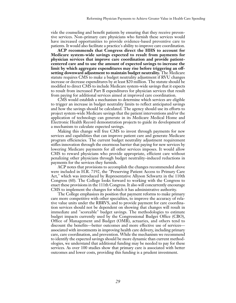vide the counseling and benefit patients by ensuring that they receive preventive services. Non–primary care physicians who furnish these services would have increased opportunities to provide evidence-based preventive care to patients. It would also facilitate a practice's ability to improve care coordination.

**ACP recommends that Congress direct the HHS to account for Medicare system-wide savings expected to result from payments for physician services that improve care coordination and provide patientcentered care and to use the amount of expected savings to increase the limit by which aggregate expenditures may rise before triggering an offsetting downward adjustment to maintain budget neutrality.** The Medicare statute requires CMS to make a budget neutrality adjustment if RVU changes increase or decrease expenditures by at least \$20 million. The statute should be modified to direct CMS to include Medicare system-wide savings that it expects to result from increased Part B expenditures for physician services that result from paying for additional services aimed at improved care coordination.

CMS would establish a mechanism to determine which services are eligible to trigger an increase in budget neutrality limits to reflect anticipated savings and how the savings should be calculated. The agency should use its efforts to project system-wide Medicare savings that the patient interventions and/or the application of technology can generate in its Medicare Medical Home and Electronic Health Record demonstration projects to guide its development of a mechanism to calculate expected savings.

Making this change will free CMS to invest through payments for new services and capabilities that can improve patient care and generate Medicare program efficiencies. The current budget neutrality adjustment requirement stifles innovation through the enormous barrier that paying for new services by lowering Medicare payments for all other services imposes. It would allow CMS to reward physicians who provide appropriate, efficient care without penalizing other physicians through budget neutrality–induced reductions in payments for the services they furnish.

ACP notes that provisions to accomplish the changes recommended above were included in H.R. 7192, the "Preserving Patient Access to Primary Care Act," which was introduced by Representative Allyson Schwartz in the 110th Congress (60). The College looks forward to working with the Congress to enact these provisions in the 111th Congress. It also will concurrently encourage CMS to implement the changes for which it has administrative authority.

The College emphasizes its position that payment reforms to make primary care more competitive with other specialties, to improve the accuracy of relative value units under the RBRVS, and to provide payment for care coordination services should not be dependent on showing that changes will result in immediate and "scoreable" budget savings. The methodologies to estimate budget impacts currently used by the Congressional Budget Office (CBO), Office of Management and Budget (OMB), actuaries, and others tend to discount the benefits—better outcomes and more effective use of services associated with investments in improving health care delivery, including primary care, care coordination, and prevention. While the mechanism we recommend to identify the expected savings should be more dynamic than current methodologies, we understand that additional funding may be needed to pay for these services. As over 100 studies show that primary care is associated with better outcomes and lower costs, providing this funding is a prudent investment.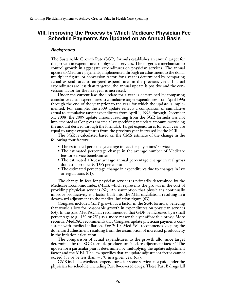# **VIII. Improving the Process by Which Medicare Physician Fee Schedule Payments Are Updated on an Annual Basis**

#### *Background*

The Sustainable Growth Rate (SGR) formula establishes an annual target for the growth in expenditures of physician services. The target is a mechanism to control growth in aggregate expenditures on physician services. The annual update to Medicare payments, implemented through an adjustment to the dollar multiplier figure, or conversion factor, for a year is determined by comparing actual expenditures to targeted expenditures in the previous year. If actual expenditures are less than targeted, the annual update is positive and the conversion factor for the next year is increased.

Under the current law, the update for a year is determined by comparing cumulative actual expenditures to cumulative target expenditures from April 1996 through the end of the year prior to the year for which the update is implemented. For example, the 2009 update reflects a comparison of cumulative actual to cumulative target expenditures from April 1, 1996, through December 31, 2008 (the 2009 update amount resulting from the SGR formula was not implemented as Congress enacted a law specifying an update amount, overriding the amount derived through the formula). Target expenditures for each year are equal to target expenditures from the previous year increased by the SGR.

The SGR is calculated based on the CMS estimate of the change in the following four factors:

- The estimated percentage change in fees for physicians' services
- The estimated percentage change in the average number of Medicare fee-for-service beneficiaries
- The estimated 10-year average annual percentage change in real gross domestic product (GDP) per capita
- The estimated percentage change in expenditures due to changes in law or regulations (61).

The change in fees for physician services is primarily determined by the Medicare Economic Index (MEI), which represents the growth in the cost of providing physician services (62). An assumption that physicians continually improve productivity is a factor built into the MEI calculation, resulting in a downward adjustment to the medical inflation figure (63).

Congress included GDP growth as a factor in the SGR formula, believing that would allow for reasonable growth in expenditures on physician services (64). In the past, MedPAC has recommended that GDP be increased by a small percentage (e.g., 1% or 2%) as a more reasonable yet affordable proxy. More recently, MedPAC recommends that Congress update physician payments consistent with medical inflation. For 2010, MedPAC recommends keeping the downward adjustment resulting from the assumption of increased productivity in the inflation calculation.

The comparison of actual expenditures to the growth allowance target determined by the SGR formula produces an "update adjustment factor." The update for a particular year is determined by multiplying the update adjustment factor and the MEI. The law specifies that an update adjustment factor cannot exceed 3% or be less than  $-7\%$  in a given year (65).

CMS includes Medicare expenditures for some services not paid under the physician fee schedule, including Part B–covered drugs. These Part B drugs fall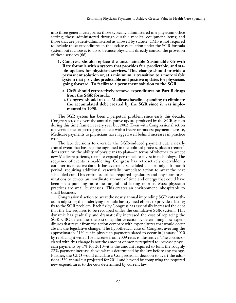into three general categories: those typically administered in a physician office setting; those administered through durable medical equipment items; and those that are patient-administered as allowed by statute. CMS is not required to include these expenditures in the update calculation under the SGR formula system but it chooses to do so because physicians directly control the provision of these services (66).

- **1. Congress should replace the unsustainable Sustainable Growth Rate formula with a system that provides fair, predictable, and stable updates for physician services. This change should provide a permanent solution or, at a minimum, a transition to a more viable system that provides predictable and positive updates for physicians going forward. To facilitate a permanent solution to the SGR:**
	- **a. CMS should retroactively remove expenditures on Part B drugs from the SGR formula.**
	- **b. Congress should rebase Medicare baseline spending to eliminate the accumulated debt created by the SGR since it was implemented in 1998.**

The SGR system has been a perpetual problem since early this decade. Congress acted to avert the annual negative update produced by the SGR system during this time frame in every year but 2002. Even with Congressional action to override the projected payment cut with a freeze or modest payment increase, Medicare payments to physicians have lagged well behind increases in practice costs.

The late decisions to override the SGR-induced payment cut, a nearly annual event that has become ingrained in the political process, place a tremendous strain on the ability of physicians to plan—in terms of whether to accept new Medicare patients, retain or expand personnel, or invest in technology. The sequence of events is maddening. Congress has retroactively overridden a cut after its effective date. It has averted a scheduled cut for only a 6-month period, requiring additional, essentially immediate action to avert the next scheduled cut. This entire ordeal has required legislators and physician organizations to devote an inordinate amount of time and energy that could have been spent pursuing more meaningful and lasting reforms. Most physician practices are small businesses. This creates an environment inhospitable to small business.

Congressional action to avert the nearly annual impending SGR cuts without it adjusting the underlying formula has stymied efforts to provide a lasting fix to the SGR problem. Each fix by Congress has essentially increased the debt that the law requires to be recouped under the cumulative SGR system. This dynamic has gradually and dramatically increased the cost of replacing the SGR. CBO determines the cost of legislative action by determining how expenditures that result from the action compare with expenditures that would occur absent the legislative change. The hypothetical case of Congress averting the approximately 21% cut in physician payments slated to occur in January 2010 by replacing it with a 1% increase from 2009 rates is illustrative. The cost associated with this change is not the amount of money required to increase physician payments by 1% for 2010--it is the amount required to fund the roughly 22% payment increase above what is determined by the law before any change. Further, the CBO would calculate a Congressional decision to avert the additional 5% annual cut projected for 2011 and beyond by comparing the required new expenditures to the cuts determined by current law.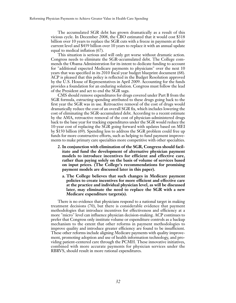The accumulated SGR debt has grown dramatically as a result of this vicious cycle. In December 2008, the CBO estimated that it would cost \$318 billion over 10 years to replace the SGR cuts with a freeze in payments at their current level and \$439 billion over 10 years to replace it with an annual update equal to medical inflation (67).

This situation is serious and will only get worse without dramatic action. Congress needs to eliminate the SGR-accumulated debt. The College commends the Obama Administration for its intent to dedicate funding to account for "additional expected Medicare payments to physicians" over the next 10 years that was specified in its 2010 fiscal year budget blueprint document (68). ACP is pleased that this policy is reflected in the Budget Resolution approved by the U.S. House of Representatives in April 2009. Accounting for the funds provides a foundation for an enduring solution. Congress must follow the lead of the President and act to end the SGR saga.

CMS should remove expenditures for drugs covered under Part B from the SGR formula, extracting spending attributed to these drugs going back to the first year the SGR was in use. Retroactive removal of the cost of drugs would dramatically reduce the cost of an overall SGR fix, which includes lowering the cost of eliminating the SGR-accumulated debt. According to a recent estimate by the AMA, retroactive removal of the cost of physician-administered drugs back to the base year for tracking expenditures under the SGR would reduce the 10-year cost of replacing the SGR going forward with updates based on MEI by \$150 billion (69). Spending less to address the SGR problem could free up funds for more constructive efforts, such as helping to fund payment improvements to make primary care specialties more competitive with other specialties.

- **2. In conjunction with elimination of the SGR, Congress should facilitate and fund the development of alternative physician payment models to introduce incentives for efficient and effective care, rather than paying solely on the basis of volume of services based on input prices. (The College's recommendations for promising payment models are discussed later in this paper).**
	- **a. The College believes that such changes in Medicare payment policies to create incentives for more efficient and effective care at the practice and individual physician level, as will be discussed later, may eliminate the need to replace the SGR with a new Medicare expenditure targets(s).**

There is no evidence that physicians respond to a national target in making treatment decisions (70), but there is considerable evidence that payment methodologies that introduce incentives for effectiveness and efficiency at a more "micro" level can influence physician decision-making. ACP continues to prefer that Congress only institute volume or expenditure controls as a backup mechanism to the extent that other reforms in payment methodologies to improve quality and introduce greater efficiency are found to be insufficient. These other reforms include aligning Medicare payments with quality improvement, promoting adoption and use of health information technology, and providing patient-centered care through the PCMH. These innovative initiatives, combined with more accurate payments for physician services under the RBRVS, should result in more rational expenditures.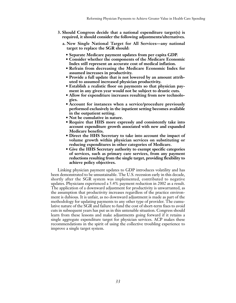- **3. Should Congress decide that a national expenditure target(s) is required, it should consider the following adjustments/alternatives.**
	- **a. New Single National Target for All Services—any national target to replace the SGR should:**
		- **Separate Medicare payment updates from per capita GDP.**
		- **Consider whether the components of the Medicare Economic Index still represent an accurate cost of medical inflation.**
		- **Refrain from decreasing the Medicare Economic Index for assumed increases in productivity.**
		- **Provide a full update that is not lowered by an amount attributed to assumed increased physician productivity.**
		- **Establish a realistic floor on payments so that physician payment in any given year would not be subject to drastic cuts.**
		- **Allow for expenditure increases resulting from new technologies.**
		- **Account for instances when a service/procedure previously performed exclusively in the inpatient setting becomes available in the outpatient setting.**
		- **Not be cumulative in nature.**
		- **Require that HHS more expressly and consistently take into account expenditure growth associated with new and expanded Medicare benefits.**
		- **Direct the HHS Secretary to take into account the impact of volume growth within physician services on substituting or reducing expenditures in other categories of Medicare.**
		- **Give the HHS Secretary authority to exempt specific categories of services, such as primary care services, from any payment reductions resulting from the single target, providing flexibility to achieve policy objectives.**

Linking physician payment updates to GDP introduces volatility and has been demonstrated to be unsustainable. The U.S. recession early in this decade, shortly after the SGR system was implemented, contributed to negative updates. Physicians experienced a 5.4% payment reduction in 2002 as a result. The application of a downward adjustment for productivity is unwarranted, as the assumption that productivity increases regardless of the practice environment is dubious. It is unfair, as no downward adjustment is made as part of the methodology for updating payments to any other type of provider. The cumulative nature of the SGR and failure to fund the cost of short-term fixes to avoid cuts in subsequent years has put us in this untenable situation. Congress should learn from these lessons and make adjustments going forward if it retains a single aggregate expenditure target for physician services. ACP makes these recommendations in the spirit of using the collective troubling experience to improve a single target system.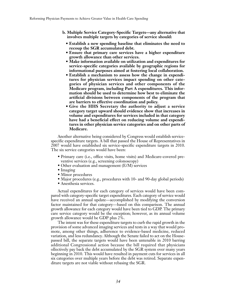- **b. Multiple Service Category-Specific Targets—any alternative that involves multiple targets by categories of service should:**
	- **Establish a new spending baseline that eliminates the need to recoup the SGR accumulated debt.**
	- **Ensure that primary care services have a higher expenditure growth allowance than other services.**
	- **Make information available on utilization and expenditures for service-specific categories available by geographic regions for informational purposes aimed at fostering local collaboration.**
	- **Establish a mechanism to assess how the change in expenditures for physician services impact spending on other categories of physician services and other components of the Medicare program, including Part A expenditures. This information should be used to determine how best to eliminate the artificial divisions between components of the program that are barriers to effective coordination and policy.**
	- **Give the HHS Secretary the authority to adjust a service category target upward should evidence show that increases in volume and expenditures for services included in that category have had a beneficial effect on reducing volume and expenditures in other physician service categories and on other parts of Medicare.**

Another alternative being considered by Congress would establish servicespecific expenditure targets. A bill that passed the House of Representatives in 2007 would have established six service-specific expenditure targets in 2010. The six service categories would have been:

- Primary care (i.e., office visits, home visits) and Medicare-covered preventive services (e.g., screening colonoscopy)
- Other evaluation and management (E/M) services
- Imaging
- Minor procedures
- Major procedures (e.g., procedures with 10- and 90-day global periods)
- Anesthesia services.

Actual expenditures for each category of services would have been compared with category-specific target expenditures. Each category of service would have received an annual update—accomplished by modifying the conversion factor maintained for that category—based on this comparison. The annual growth allowance for each category would have been tied to GDP. The primary care service category would be the exception; however, as its annual volume growth allowance would be GDP plus 2%.

The intent was for these expenditure targets to curb the rapid growth in the provision of some advanced imaging services and tests in a way that would promote, among other things, adherence to evidence-based medicine, reduced variation, and less redundancy. Although the Senate failed to act on the Housepassed bill, the separate targets would have been untenable in 2010 barring additional Congressional action because the bill required that physicians ollectively pay back the debt accumulated by the SGR system over many years beginning in 2010. This would have resulted in payment cuts for services in all six categories over multiple years before the debt was retired. Separate expenditure targets are not viable without rebasing the SGR.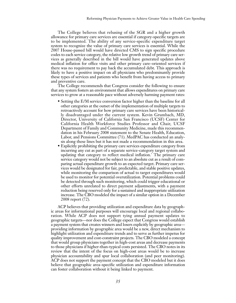The College believes that rebasing of the SGR and a higher growth allowance for primary care services are essential if category-specific targets are to be implemented. The ability of any service-specific expenditure target system to recognize the value of primary care services is essential. While the 2007 House-passed bill would have directed CMS to sign specific procedure codes to each service category, the relative low growth trend of primary care services as generally described in the bill would have generated updates above medical inflation for office visits and other primary care–oriented services if there was no requirement to pay back the accumulated debt. This approach is likely to have a positive impact on all physicians who predominantly provide these types of services and patients who benefit from having access to primary and preventive care.

The College recommends that Congress consider the following to ensure that any system fosters an environment that allows expenditures on primary care services to grow at a reasonable pace without adversely harming payment rates:

- Setting the E/M service conversion factor higher than the baseline for all other categories at the outset of the implementation of multiple targets to retroactively account for how primary care services have been historically disadvantaged under the current system. Kevin Grumbach, MD, Director, University of California San Francisco (UCSF) Center for California Health Workforce Studies Professor and Chair, UCSF Department of Family and Community Medicine, made this recommendation in his February 2008 statement to the Senate Health, Education, Labor, and Pensions Committee (71). MedPAC has conducted an analysis along these lines but it has not made a recommendation in this area.
- Explicitly prohibiting the primary care services expenditure category from incurring any cut as part of a separate service-category target system and updating that category to reflect medical inflation.' The primary care service category would not be subject to an absolute cut as a result of comparing actual expenditure growth to an expected target. Primary care services would be designated for fair, predictable, and stable positive updates, while monitoring the comparison of actual to target expenditures would be used to monitor for potential overutilization. Potential problems could be detected through such monitoring, which could trigger educational or other efforts unrelated to direct payment adjustments, with a payment reduction being reserved only for a sustained and inappropriate utilization increase. The CBO modeled the impact of a similar option in a December 2008 report (72).

ACP believes that providing utilization and expenditure data by geographic areas for informational purposes will encourage local and regional collaboration. While ACP does not support tying annual payment updates to geographic targets—nor does the College expect that Congress would establish a payment system that creates winners and losers explicitly by geographic area providing information by geographic area would be a new, direct mechanism to highlight utilization and expenditure trends and to serve as further impetus for quality improvement and cost-constraint projects. The CBO modeled a concept that would group physicians together in high-cost areas and decrease payments to those physicians if higher-than-typical costs persisted. The CBO notes in its review that the intent of the focus on high-cost areas would be to increase physician accountability and spur local collaboration (and peer monitoring). ACP does not support the payment concept that the CBO modeled but it does believe that geographic area–specific utilization and expenditure information can foster collaboration without it being linked to payment.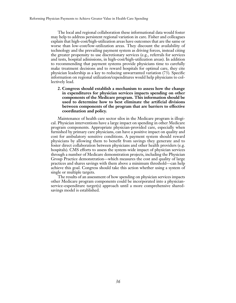The local and regional collaboration these informational data would foster may help to address persistent regional variation in care. Fisher and colleagues explain that high-cost/high-utilization areas have outcomes that are the same or worse than low-cost/low-utilization areas. They discount the availability of technology and the prevailing payment system as driving forces, instead citing the greater propensity to use discretionary services (e.g., referrals for services and tests, hospital admissions, in high-cost/high-utilization areas). In addition to recommending that payment systems provide physicians time to carefully make treatment decisions and to reward hospitals for optimal care, they cite physician leadership as a key to reducing unwarranted variation (73). Specific information on regional utilization/expenditures would help physicians to collectively lead.

**2. Congress should establish a mechanism to assess how the change in expenditures for physician services impacts spending on other components of the Medicare program. This information should be used to determine how to best eliminate the artificial divisions between components of the program that are barriers to effective coordination and policy.**

Maintenance of health care sector silos in the Medicare program is illogical. Physician interventions have a large impact on spending in other Medicare program components. Appropriate physician-provided care, especially when furnished by primary care physicians, can have a positive impact on quality and cost for ambulatory sensitive conditions. A payment system should reward physicians by allowing them to benefit from savings they generate and to foster direct collaboration between physicians and other health providers (e.g. hospitals). CMS efforts to assess the system-wide impact of physician services through a number of Medicare demonstration projects, including the Physician Group Practice demonstration—which measures the cost and quality of large practices and shares savings with them above a minimum threshold—can help achieve this goal. Congress should take this action whether using a system of single or multiple targets.

The results of an assessment of how spending on physician services impacts other Medicare program components could be incorporated into a physicianservice-expenditure target(s) approach until a more comprehensive sharedsavings model is established.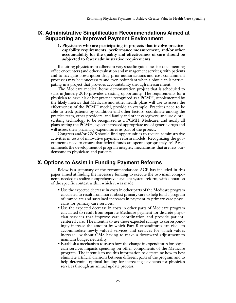# **IX. Administrative Simplification Recommendations Aimed at Supporting an Improved Payment Environment**

#### **1. Physicians who are participating in projects that involve practicecapability requirements, performance measurement, and/or other accountability for the quality and effectiveness of care should be subjected to fewer administrative requirements.**

Requiring physicians to adhere to very specific guidelines for documenting office encounters (and other evaluation and management services) with patients and to navigate prescription drug prior authorizations and cost containment processes may be unnecessary and even redundant when a physician is participating in a project that provides accountability through measurement.

The Medicare medical home demonstration project that is scheduled to start in January 2010 provides a testing opportunity. The requirements for a physician to have his or her practice recognized as a PCMH, supplemented by the likely metrics that Medicare and other health plans will use to assess the effectiveness of the PCMH model, provide an example. Practices need to be able to track patients by condition and other factors; coordinate among the practice team, other providers, and family and other caregivers; and use e-prescribing technology to be recognized as a PCMH. Medicare, and nearly all plans testing the PCMH, expect increased appropriate use of generic drugs and will assess their pharmacy expenditures as part of the project.

Congress and/or CMS should find opportunities to reduce administrative activities in tests of innovative payment reform models. Recognizing the government's need to ensure that federal funds are spent appropriately, ACP recommends the development of program integrity mechanisms that are less burdensome to physicians and patients.

# **X. Options to Assist in Funding Payment Reforms**

Below is a summary of the recommendations ACP has included in this paper aimed at finding the necessary funding to execute the two main components needed to realize comprehensive payment system reform, with a notation of the specific context within which it was made.

- Use the expected decrease in costs in other parts of the Medicare program calculated to result from more robust primary care to help fund a program of immediate and sustained increases in payment to primary care physicians for primary care services.
- Use the expected decrease in costs in other parts of Medicare program calculated to result from separate Medicare payment for discrete physician services that improve care coordination and provide patientcentered care. The intent is to use these expected savings to correspondingly increase the amount by which Part B expenditures can rise—to accommodate newly valued services and services for which values increase—without CMS having to make a downward adjustment to maintain budget neutrality.
- Establish a mechanism to assess how the change in expenditures for physician services impacts spending on other components of the Medicare program. The intent is to use this information to determine how to best eliminate artificial divisions between different parts of the program and to help determine optimal funding for increasing payments for physician services through an annual update process.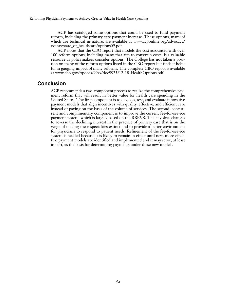ACP has cataloged some options that could be used to fund payment reform, including the primary care payment increase. These options, many of which are technical in nature, are available at www.acponline.org/advocacy/ events/state\_of\_healthcare/options09.pdf.

ACP notes that the CBO report that models the cost associated with over 100 reform options, including many that aim to constrain costs, is a valuable resource as policymakers consider options. The College has not taken a position on many of the reform options listed in the CBO report but finds it helpful in gauging impact of many reforms. The complete CBO report is available at www.cbo.gov/ftpdocs/99xx/doc9925/12-18-HealthOptions.pdf.

### **Conclusion**

ACP recommends a two-component process to realize the comprehensive payment reform that will result in better value for health care spending in the United States. The first component is to develop, test, and evaluate innovative payment models that align incentives with quality, effective, and efficient care instead of paying on the basis of the volume of services. The second, concurrent and complimentary component is to improve the current fee-for-service payment system, which is largely based on the RBRVS. This involves changes to reverse the declining interest in the practice of primary care that is on the verge of making these specialties extinct and to provide a better environment for physicians to respond to patient needs. Refinement of the fee-for-service system is needed because it is likely to remain in effect until new, more effective payment models are identified and implemented and it may serve, at least in part, as the basis for determining payments under these new models.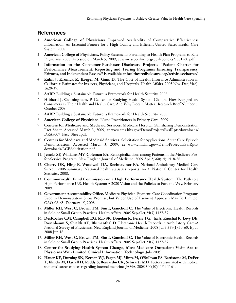# **References**

- 1. **American College of Physicians.** Improved Availability of Comparative Effectiveness Information: An Essential Feature for a High-Quality and Efficient United States Health Care System. 2008.
- 2. **American College of Physicians.** Policy Statements Pertaining to Health Plan Programs to Rate Physicians. 2008. Accessed on March 5, 2009, at www.acponline.org/ppvl/policies/e001260.pdf.
- 3. **Information on the Consumer-Purchaser Disclosure Project's "Patient Charter for Performance Measurement, Reporting and Tiering Programs: Ensuring Transparency, Fairness, and Independent Review" is available at healthcaredisclosure.org/activities/charter/.**
- 4. **Kahn J, Kronick R, Kreger M, Gans D.** The Cost of Health Insurance Administration in California: Estimates for Insurers, Physicians, and Hospitals. Health Affairs. 2005 Nov-Dec;24(6): 1629-39.
- 5. **AARP.** Building a Sustainable Future: a Framework for Health Security. 2008.
- 6. **Hibbard J, Cunningham, P.** Center for Studying Health System Change. How Engaged are Consumers in Their Health and Health Care, And Why Does it Matter.. Research Brief Number 8. October 2008.
- 7. **AARP.** Building a Sustainable Future: a Framework for Health Security. 2008.
- 8. **American College of Physicians.** Nurse Practitioners in Primary Care. 2009.
- 9. **Centers for Medicare and Medicaid Services.** Medicare Hospital Gainsharing Demonstration Fact Sheet. Accessed March 3, 2009, at www.cms.hhs.gov/DemoProjectsEvalRpts/downloads/ DRA5007\_Fact\_Sheet.pdf.
- 10. **Centers for Medicare and Medicaid Services.** Solicitation for Applications, Acute Care Episode Demonstration. Accessed March 3, 2009, at www.cms.hhs.gov/DemoProjectsEvalRpts/ downloads/ACESolicitation.pdf.
- 11. **Jencks SF, Williams MV, Coleman EA.** Rehospitalizations among Patients in the Medicare Feefor-Service Program. New England Journal of Medicine. 2009 Apr 2;360(14):1418-28.
- 12. **Cherry DK, Hing E, Woodwell DA, Rechtsteiner EA.** National Ambulatory Medical Care Survey: 2006 summary. National health statistics reports; no 3. National Center for Health Statistics. 2008.
- 13. **Commonwealth Fund Commission on a High Performance Health System.** The Path to a High Performance U.S. Health System: A 2020 Vision and the Policies to Pave the Way. February 2009.
- 14. **Government Accountability Office.** Medicare Physician Payment: Care Coordination Programs Used in Demonstratoin Show Promise, but Wider Use of Payment Approach May Be Limited. GAO-08-65. February 15, 2008.
- 15. **Miller RH, West C, Brown TM, Sim I, Ganchoff C.** The Value of Electronic Health Records in Solo or Small Group Practices. Health Affairs. 2005 Sep-Oct;24(5):1127-37.
- 16. **DesRoches CM, Campbell EG, Rao SR, Donelan K, Ferris TG, Jha A, Kaushal R, Levy DE, Rosenbaum S, Shields AE, Blumenthal D.** Electronic Health Records in Ambulatory Care-A National Survey of Physicians. New England Journal of Medicine. 2008 Jul 3;359(1):50-60. Epub 2008 Jun 18.
- 17. **Miller RH, West C, Brown TM, Sim I, Ganchoff C.** The Value of Electronic Health Records in Solo or Small Group Practices. Health Affairs. 2005 Sep-Oct;24(5):1127-37.
- 18. **Center for Studying Health System Change, Most Medicare Outpatient Visits Are to Physicians With Limited Clinical Information Technology.** July 2005.
- 19. **Hauer KE, Durning SN, Kernan WJ, Fagan MJ, Mintz M, O'Sullivan PS, Battistone M, DeFer T, Elnicki M, Harrell H, Reddy S, Boscardin CK, Schwartz MD.** Factors associated with medical students' career choices regarding internal medicine. JAMA. 2008;300(10):1154-1164.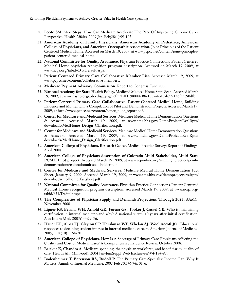- 20. **Foote SM.** Next Steps: How Can Medicare Accelerate The Pace Of Improving Chronic Care? Perspective. Health Affairs. 2009 Jan-Feb;28(1):99-102.
- 21. **American Academy of Family Physicians, American Academy of Pediatrics, American College of Physicians, and American Osteopathic Association.** Joint Principles of the Patient Centered Medical Home. Accessed on March 19, 2009, at www.pcpcc.net/content/joint-principlespatient-centered-medical-home.
- 22. **National Committee for Quality Assurance.** Physician Practice Connections-Patient Centered Medical Home physician recognition program description. Accessed on March 19, 2009, at www.ncqa.org/tabid/631/Default.aspx.
- 23. **Patient Centered Primary Care Collaborative Member List.** Accessed March 19, 2009, at www.pcpcc.net/content/collaborative-members.
- 24. **Medicare Payment Advisory Commission.** Report to Congress. June 2008.
- 25. **National Academy for State Health Policy.** Medicaid Medical Home State Scan. Accessed March 19, 2009, at www.nashp.org/\_docdisp\_page.cfm?LID=980882B8-1085-4b10-b72c136f53c90dfb.
- 26. **Patient Centered Primary Care Collaborative.** Patient Centered Medical Home, Building Evidence and Momentum: a Compilation of Pilot and Demonstration Projects. Accessed March 19, 2009, at http://www.pcpcc.net/content/pcpcc\_pilot\_report.pdf.
- 27. **Center for Medicare and Medicaid Services.** Medicare Medical Home Demonstration Questions & Answers. Accessed March 19, 2009, at www.cms.hhs.gov/DemoProjectsEvalRpts/ downloads/MedHome\_Design\_Clarification.pdf.
- 28. **Center for Medicare and Medicaid Services.** Medicare Medical Home Demonstration Questions & Answers. Accessed March 19, 2009, at www.cms.hhs.gov/DemoProjectsEvalRpts/ downloads/MedHome\_Design\_Clarification.pdf.
- 29. **American College of Physicians.** Research Center. Medical Practice Survey: Report of Findings. April 2004.
- 30. **American College of Physicians description of Colorado Multi-Stakeholder, Multi-State PCMH Pilot project.** Accessed March 19, 2009, at www.acponline.org/running\_practice/pcmh/ demonstrations/coloradomultistakeholder.pdf.
- 31. **Center for Medicare and Medicaid Services.** Medicare Medical Home Demonstration Fact Sheet. January 9, 2009. Accessed March 19, 2009, at www.cms.hhs.gov/demoprojectsevalrpts/ downloads/medhome\_factsheet.pdf.
- 32. **National Committee for Quality Assurance.** Physician Practice Connections-Patient Centered Medical Home recognition program description. Accessed March 19, 2009, at www.ncqa.org/ tabid/631/Default.aspx.
- 33. **The Complexities of Physician Supply and Demand: Projections Through 2025.** AAMC. November 2008.
- 34. **Lipner RS, Bylsma WH, Arnold GK, Fortna GS, Tooker J, Cassel CK.** Who is maintaining certification in internal medicine-and why? A national survey 10 years after initial certification. Ann Intern Med. 2005;144:29-36.
- 35. **Hauer KE, Alper EJ, Clayton CP, Hershman WY, Whelan AJ, Woolliscroft JO.** Educational responses to declining student interest in internal medicine careers. American Journal of Medicine. 2005; 118 (10) 1164-70.
- 36. **American College of Physicians.** How Is A Shortage of Primary Care Physicians Affecting the Quality and Cost of Medical Care? A Comprehensive Evidence Review. October 2008.
- 37. **Baicker K, Chandra A.** Medicare spending, the physician workforce, and beneficiaries' quality of care. Health Aff (Millwood). 2004 Jan-Jun;Suppl Web Exclusives:W4-184-97.
- 38. **Bodenheimer T, Berenson RA, Rudolf P.** The Primary Care-Specialist Income Gap: Why It Matters. Annals of Internal Medicine. 2007 Feb 20;146(4):301-6.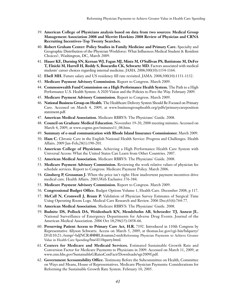- 39. **American College of Physicians analysis based on data from two sources: Medical Group Management Association 2008 and Merritt Hawkins 2008 Review of Physician and CRNA Recruiting Incentives-Top Twenty Searches.**
- 40. **Robert Graham Center: Policy Studies in Family Medicine and Primary Care.** Specialty and Geographic Distribution of the Physician Workforce: What Influences Medical Student & Resident Choices?, Washington, DC, March 2009.
- 41. **Hauer KE, Durning SN, Kernan WJ, Fagan MJ, Mintz M, O'Sullivan PS, Battistone M, DeFer T, Elnicki M, Harrell H, Reddy S, Boscardin CK, Schwartz MD.** Factors associated with medical students' career choices regarding internal medicine. JAMA. 2008;300(10):1154-1164.
- 42. **Ebell MH.** Future salary and US residency fill rate revisited. JAMA. 2008;300(10):1131-1132.
- 43. **Medicare Payment Advisory Commission.** Report to Congress. March 2009.
- 44. **Commonwealth Fund Commission on a High Performance Health System.** The Path to a High Performance U.S. Health System: A 2020 Vision and the Policies to Pave the Way. February 2009.
- 45. **Medicare Payment Advisory Commission.** Report to Congress. March 2009.
- 46. **National Business Group on Health.** The Healthcare Delivery System Should Be Focused on Primary Care. Accessed on March 4, 2009, at www.businessgrouphealth.org/pdfs/primarycareposition statement.pdf.
- 47. **American Medical Association.** Medicare RBRVS: The Physicians' Guide. 2008.
- 48. **Council on Graduate Medical Education.** November 19-20, 2008 meeting minutes. Accessed on March 4, 2009, at www.cogme.gov/minutes11\_08.htm.
- 49. **Summary of e-mail communication with Rhode Island Insurance Commissioner.** March 2009.
- 50. **Ham C.** Chronic Care in the English National Health Service: Progress and Challenges. Health Affairs. 2009 Jan-Feb;28(1):190-201.
- 51. **American College of Physicians.** Achieving a High Performance Health Care System with Universal Access: What the United States Can Learn from Other Countries. 2007.
- 52. **American Medical Association.** Medicare RBRVS: The Physicians' Guide. 2008.
- 53. **Medicare Payment Advisory Commission.** Reviewing the work relative values of physician fee schedule services. Report to Congress: Medicare Payment Policy. March 2006.
- 54. **Ginsberg P, Grossman J.** When the price isn't right: How inadvertent payment incentives drive medical care. Health Affairs. 2005;Web Exclusive 376-384.
- 55. **Medicare Payment Advisory Commission.** Report to Congress. March 2009.
- 56. **Congressional Budget Office.** Budget Options Volume 1, Health Care. December 2008, p 117.
- 57. **McCall N, Cromwell J, Braun P.** Validation of Physician Survey Estimates of Surgical Time Using Operating Room Logs. Medical Care Research and Review. 2006 Dec;63(6):764-77.
- 58. **American Medical Association.** Medicare RBRVS: The Physicians' Guide. 2008.
- 59. **Budnitz DS, Pollock DA, Weidenbach KN, Mendelsohn AB, Schroeder TJ, Annest JL.** National Surveillance of Emergency Departments for Adverse Drug Events. Journal of the American Medical Association. 2006 Oct 18;296(15):1858-66.
- 60. **Preserving Patient Access to Primary Care Act, H.R.** 7192. Introduced in 110th Congress by Representative Allyson Schwartz. Access on March 5, 2009, at thomas.loc.gov/cgi-bin/bdquery/ D?d110:21:./temp/~bdjNCR:@@@L&summ2=m&Reforming Physician Payments to Achieve Greater Value in Health Care Spending/bss/d110query.html.
- 61. **Centers for Medicare and Medicaid Services.** Estimated Sustainable Growth Rate and Conversion Factor for Medicare Payments to Physicians in 2009. Accessed on March 11, 2009, at www.cms.hhs.gov/SustainableGRatesConFact/Downloads/sgr2009f.pdf.
- 62. **Government Accountability Office.** Testimony Before the Subcommittee on Health, Committee on Ways and Means, House of Representatives. Medicare Physician Payments: Considerations for Reforming the Sustainable Growth Rate System. February 10, 2005.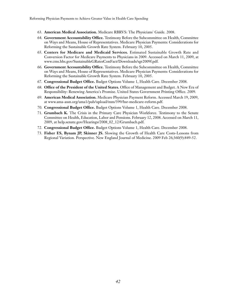- 63. **American Medical Association.** Medicare RBRVS: The Physicians' Guide. 2008.
- 64. **Government Accountability Office.** Testimony Before the Subcommittee on Health, Committee on Ways and Means, House of Representatives. Medicare Physician Payments: Considerations for Reforming the Sustainable Growth Rate System. February 10, 2005.
- 65. **Centers for Medicare and Medicaid Services.** Estimated Sustainable Growth Rate and Conversion Factor for Medicare Payments to Physicians in 2009. Accessed on March 11, 2009, at www.cms.hhs.gov/SustainableGRatesConFact/Downloads/sgr2009f.pdf.
- 66. **Government Accountability Office.** Testimony Before the Subcommittee on Health, Committee on Ways and Means, House of Representatives. Medicare Physician Payments: Considerations for Reforming the Sustainable Growth Rate System. February 10, 2005.
- 67. **Congressional Budget Office.** Budget Options Volume 1, Health Care. December 2008.
- 68. **Office of the President of the United States.** Office of Management and Budget. A New Era of Responsibility: Renewing America's Promise. United States Government Printing Office. 2009.
- 69. **American Medical Association.** Medicare Physician Payment Reform. Accessed March 19, 2009, at www.ama-assn.org/ama1/pub/upload/mm/399/hsr-medicare-reform.pdf.
- 70. **Congressional Budget Office.** Budget Options Volume 1, Health Care. December 2008.
- 71. **Grumbach K.** The Crisis in the Primary Care Physician Workforce. Testimony to the Senate Committee on Health, Education, Labor and Pensions. February 12, 2008. Accessed on March 11, 2009, at help.senate.gov/Hearings/2008\_02\_12/Grumbach.pdf.
- 72. **Congressional Budget Office.** Budget Options Volume 1, Health Care. December 2008.
- 73. **Fisher ES, Bynam JP, Skinner JS.** Slowing the Growth of Health Care Costs-Lessons from Regional Variation. Perspective. New England Journal of Medicine. 2009 Feb 26;360(9):849-52.